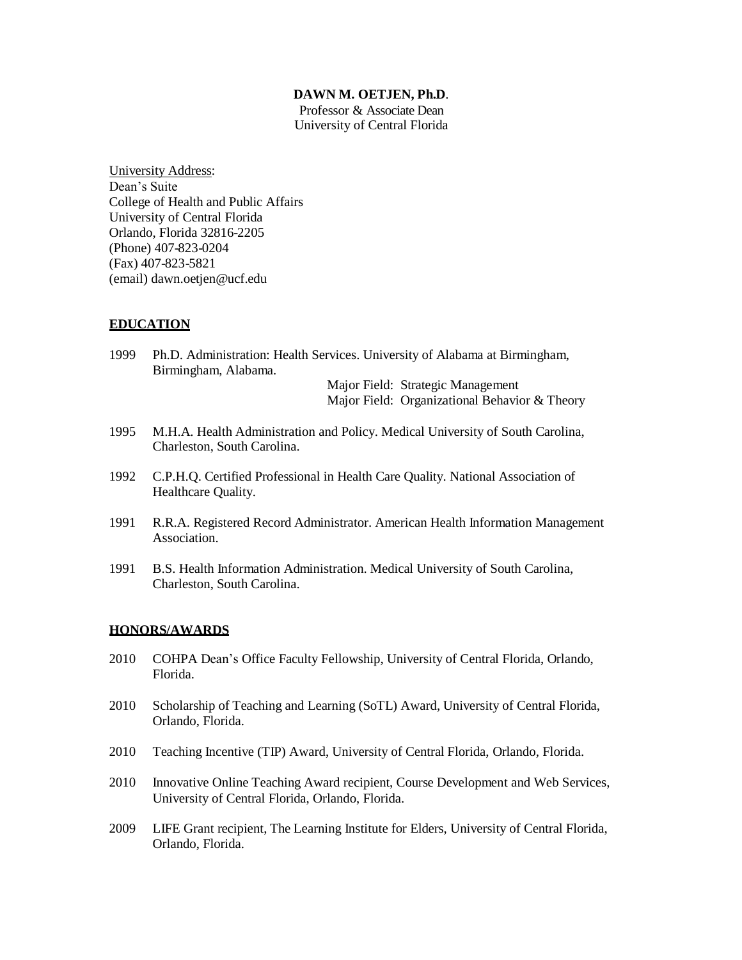#### **DAWN M. OETJEN, Ph.D**.

Professor & Associate Dean University of Central Florida

University Address: Dean's Suite College of Health and Public Affairs University of Central Florida Orlando, Florida 32816-2205 (Phone) 407-823-0204 (Fax) 407-823-5821 (email) [dawn.oetjen@ucf.edu](mailto:dawn.oetjen@ucf.edu)

### **EDUCATION**

1999 Ph.D. Administration: Health Services. University of Alabama at Birmingham, Birmingham, Alabama.

> Major Field: Strategic Management Major Field: Organizational Behavior & Theory

- 1995 M.H.A. Health Administration and Policy. Medical University of South Carolina, Charleston, South Carolina.
- 1992 C.P.H.Q. Certified Professional in Health Care Quality. National Association of Healthcare Quality.
- 1991 R.R.A. Registered Record Administrator. American Health Information Management Association.
- 1991 B.S. Health Information Administration. Medical University of South Carolina, Charleston, South Carolina.

#### **HONORS/AWARDS**

- 2010 COHPA Dean's Office Faculty Fellowship, University of Central Florida, Orlando, Florida.
- 2010 Scholarship of Teaching and Learning (SoTL) Award, University of Central Florida, Orlando, Florida.
- 2010 Teaching Incentive (TIP) Award, University of Central Florida, Orlando, Florida.
- 2010 Innovative Online Teaching Award recipient, Course Development and Web Services, University of Central Florida, Orlando, Florida.
- 2009 LIFE Grant recipient, The Learning Institute for Elders, University of Central Florida, Orlando, Florida.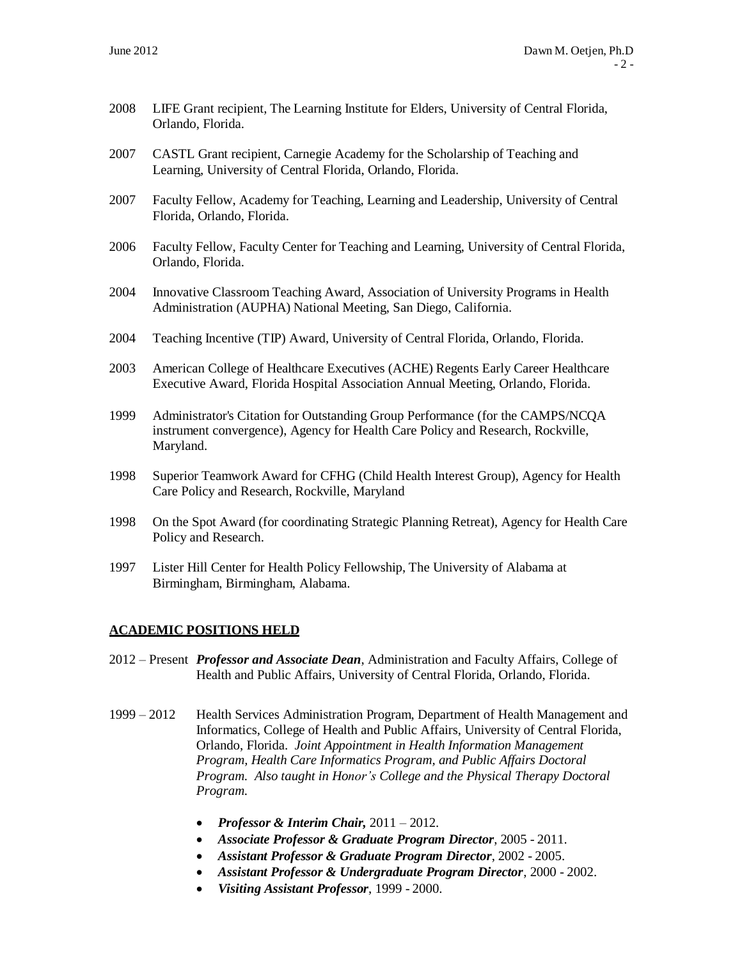- 2008 LIFE Grant recipient, The Learning Institute for Elders, University of Central Florida, Orlando, Florida.
- 2007 CASTL Grant recipient, Carnegie Academy for the Scholarship of Teaching and Learning, University of Central Florida, Orlando, Florida.
- 2007 Faculty Fellow, Academy for Teaching, Learning and Leadership, University of Central Florida, Orlando, Florida.
- 2006 Faculty Fellow, Faculty Center for Teaching and Learning, University of Central Florida, Orlando, Florida.
- 2004 Innovative Classroom Teaching Award, Association of University Programs in Health Administration (AUPHA) National Meeting, San Diego, California.
- 2004 Teaching Incentive (TIP) Award, University of Central Florida, Orlando, Florida.
- 2003 American College of Healthcare Executives (ACHE) Regents Early Career Healthcare Executive Award, Florida Hospital Association Annual Meeting, Orlando, Florida.
- 1999 Administrator's Citation for Outstanding Group Performance (for the CAMPS/NCQA instrument convergence), Agency for Health Care Policy and Research, Rockville, Maryland.
- 1998 Superior Teamwork Award for CFHG (Child Health Interest Group), Agency for Health Care Policy and Research, Rockville, Maryland
- 1998 On the Spot Award (for coordinating Strategic Planning Retreat), Agency for Health Care Policy and Research.
- 1997 Lister Hill Center for Health Policy Fellowship, The University of Alabama at Birmingham, Birmingham, Alabama.

### **ACADEMIC POSITIONS HELD**

- 2012 Present *Professor and Associate Dean*, Administration and Faculty Affairs, College of Health and Public Affairs, University of Central Florida, Orlando, Florida.
- 1999 2012 Health Services Administration Program, Department of Health Management and Informatics, College of Health and Public Affairs, University of Central Florida, Orlando, Florida. *Joint Appointment in Health Information Management Program, Health Care Informatics Program, and Public Affairs Doctoral Program. Also taught in Honor's College and the Physical Therapy Doctoral Program.*
	- *Professor & Interim Chair,* 2011 2012.
	- *Associate Professor & Graduate Program Director*, 2005 2011.
	- *Assistant Professor & Graduate Program Director*, 2002 2005.
	- *Assistant Professor & Undergraduate Program Director*, 2000 2002.
	- *Visiting Assistant Professor*, 1999 2000.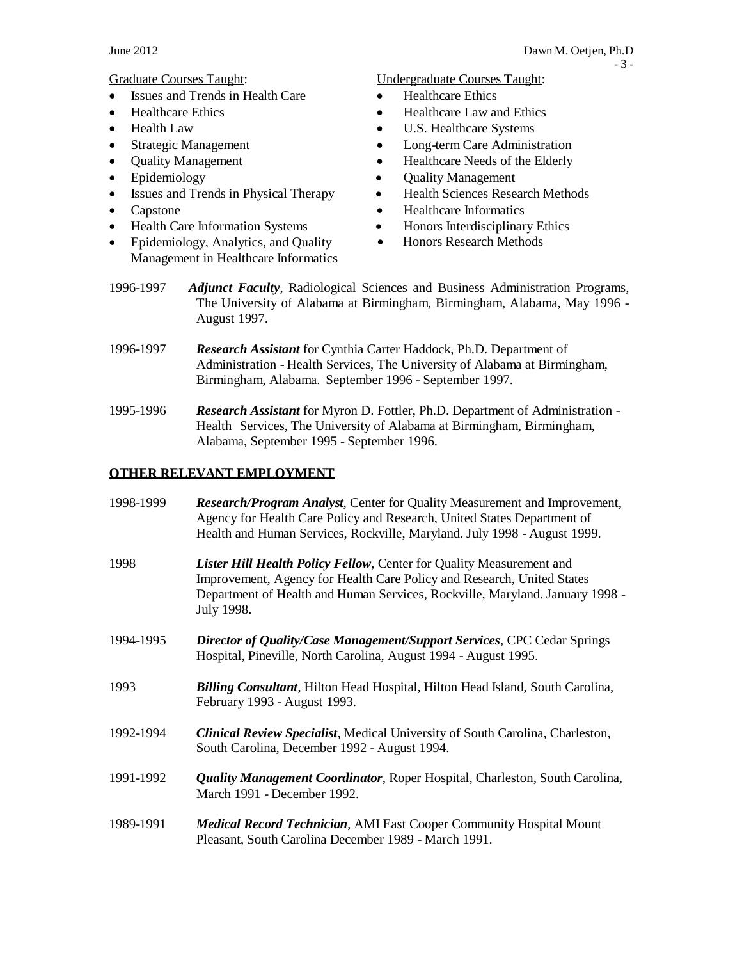- Issues and Trends in Health Care Healthcare Ethics
- 
- 
- 
- 
- 
- Issues and Trends in Physical Therapy Health Sciences Research Methods
- 
- Health Care Information Systems Honors Interdisciplinary Ethics
- Epidemiology, Analytics, and Quality Management in Healthcare Informatics

Graduate Courses Taught: Undergraduate Courses Taught:

- 
- Healthcare Ethics Healthcare Law and Ethics
- Health Law U.S. Healthcare Systems
- Strategic Management Long-term Care Administration
- Quality Management Healthcare Needs of the Elderly
- Epidemiology Quality Management
	-
- Capstone Healthcare Informatics
	-
	- Honors Research Methods
- 1996-1997 *Adjunct Faculty*, Radiological Sciences and Business Administration Programs, The University of Alabama at Birmingham, Birmingham, Alabama, May 1996 - August 1997.
- 1996-1997 *Research Assistant* for Cynthia Carter Haddock, Ph.D. Department of Administration - Health Services, The University of Alabama at Birmingham, Birmingham, Alabama. September 1996 - September 1997.
- 1995-1996 *Research Assistant* for Myron D. Fottler, Ph.D. Department of Administration Health Services, The University of Alabama at Birmingham, Birmingham, Alabama, September 1995 - September 1996.

# **OTHER RELEVANT EMPLOYMENT**

| 1998-1999 | <b>Research/Program Analyst, Center for Quality Measurement and Improvement,</b><br>Agency for Health Care Policy and Research, United States Department of<br>Health and Human Services, Rockville, Maryland. July 1998 - August 1999.      |
|-----------|----------------------------------------------------------------------------------------------------------------------------------------------------------------------------------------------------------------------------------------------|
| 1998      | Lister Hill Health Policy Fellow, Center for Quality Measurement and<br>Improvement, Agency for Health Care Policy and Research, United States<br>Department of Health and Human Services, Rockville, Maryland. January 1998 -<br>July 1998. |
| 1994-1995 | <b>Director of Quality/Case Management/Support Services, CPC Cedar Springs</b><br>Hospital, Pineville, North Carolina, August 1994 - August 1995.                                                                                            |
| 1993      | <b>Billing Consultant</b> , Hilton Head Hospital, Hilton Head Island, South Carolina,<br>February 1993 - August 1993.                                                                                                                        |
| 1992-1994 | <b>Clinical Review Specialist, Medical University of South Carolina, Charleston,</b><br>South Carolina, December 1992 - August 1994.                                                                                                         |
| 1991-1992 | <b>Quality Management Coordinator</b> , Roper Hospital, Charleston, South Carolina,<br>March 1991 - December 1992.                                                                                                                           |
| 1989-1991 | <b>Medical Record Technician, AMI East Cooper Community Hospital Mount</b><br>Pleasant, South Carolina December 1989 - March 1991.                                                                                                           |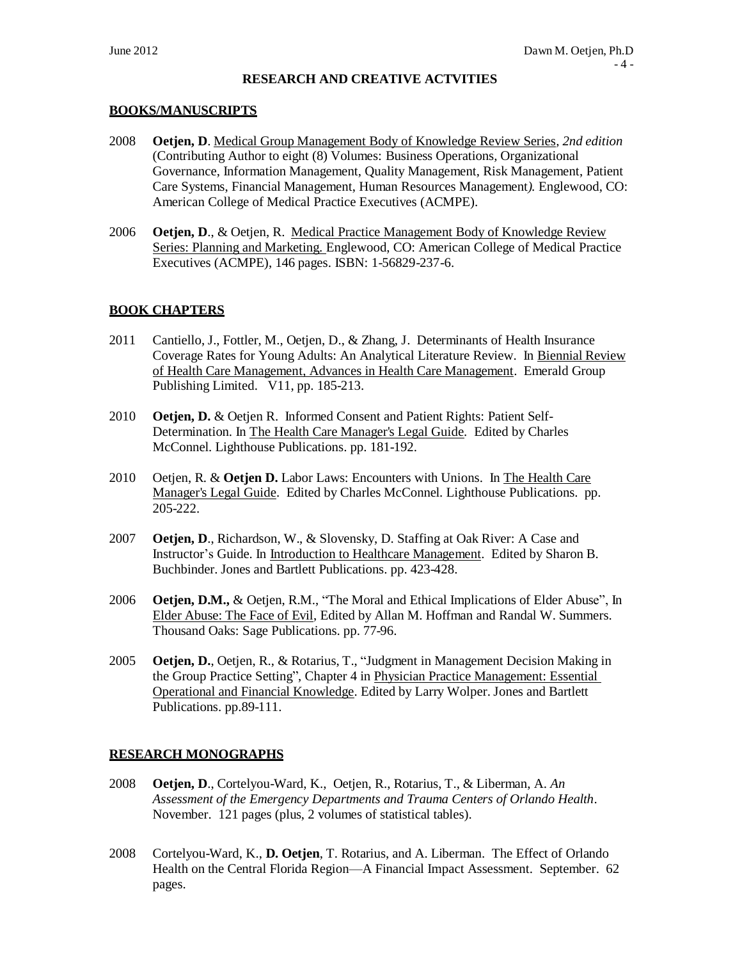### **RESEARCH AND CREATIVE ACTVITIES**

### **BOOKS/MANUSCRIPTS**

- 2008 **Oetjen, D**. Medical Group Management Body of Knowledge Review Series*, 2nd edition* (Contributing Author to eight (8) Volumes: Business Operations*,* Organizational Governance, Information Management, Quality Management, Risk Management, Patient Care Systems, Financial Management, Human Resources Management*).* Englewood, CO: American College of Medical Practice Executives (ACMPE).
- 2006 **Oetjen, D**., & Oetjen, R. Medical Practice Management Body of Knowledge Review Series: Planning and Marketing. Englewood, CO: American College of Medical Practice Executives (ACMPE), 146 pages. ISBN: 1-56829-237-6.

### **BOOK CHAPTERS**

- 2011 Cantiello, J., Fottler, M., Oetjen, D., & Zhang, J. Determinants of Health Insurance Coverage Rates for Young Adults: An Analytical Literature Review. In Biennial Review of Health Care Management, Advances in Health Care Management. Emerald Group Publishing Limited. V11, pp. 185-213.
- 2010 **Oetjen, D.** & Oetjen R. Informed Consent and Patient Rights: Patient Self-Determination. In The Health Care Manager's Legal Guide*.* Edited by Charles McConnel*.* Lighthouse Publications. pp. 181-192.
- 2010 Oetjen, R. & **Oetjen D.** Labor Laws: Encounters with Unions. In The Health Care Manager's Legal Guide. Edited by Charles McConnel*.* Lighthouse Publications. pp. 205-222.
- 2007 **Oetjen, D**., Richardson, W., & Slovensky, D. Staffing at Oak River: A Case and Instructor's Guide. In Introduction to Healthcare Management. Edited by Sharon B. Buchbinder. Jones and Bartlett Publications. pp. 423-428.
- 2006 **Oetjen, D.M.,** & Oetjen, R.M., "The Moral and Ethical Implications of Elder Abuse", In Elder Abuse: The Face of Evil, Edited by Allan M. Hoffman and Randal W. Summers. Thousand Oaks: Sage Publications. pp. 77-96.
- 2005 **Oetjen, D.**, Oetjen, R., & Rotarius, T., "Judgment in Management Decision Making in the Group Practice Setting", Chapter 4 in Physician Practice Management: Essential Operational and Financial Knowledge. Edited by Larry Wolper. Jones and Bartlett Publications. pp.89-111.

### **RESEARCH MONOGRAPHS**

- 2008 **Oetjen, D**., Cortelyou-Ward, K., Oetjen, R., Rotarius, T., & Liberman, A. *An Assessment of the Emergency Departments and Trauma Centers of Orlando Health*. November. 121 pages (plus, 2 volumes of statistical tables).
- 2008 Cortelyou-Ward, K., **D. Oetjen**, T. Rotarius, and A. Liberman. The Effect of Orlando Health on the Central Florida Region—A Financial Impact Assessment. September. 62 pages.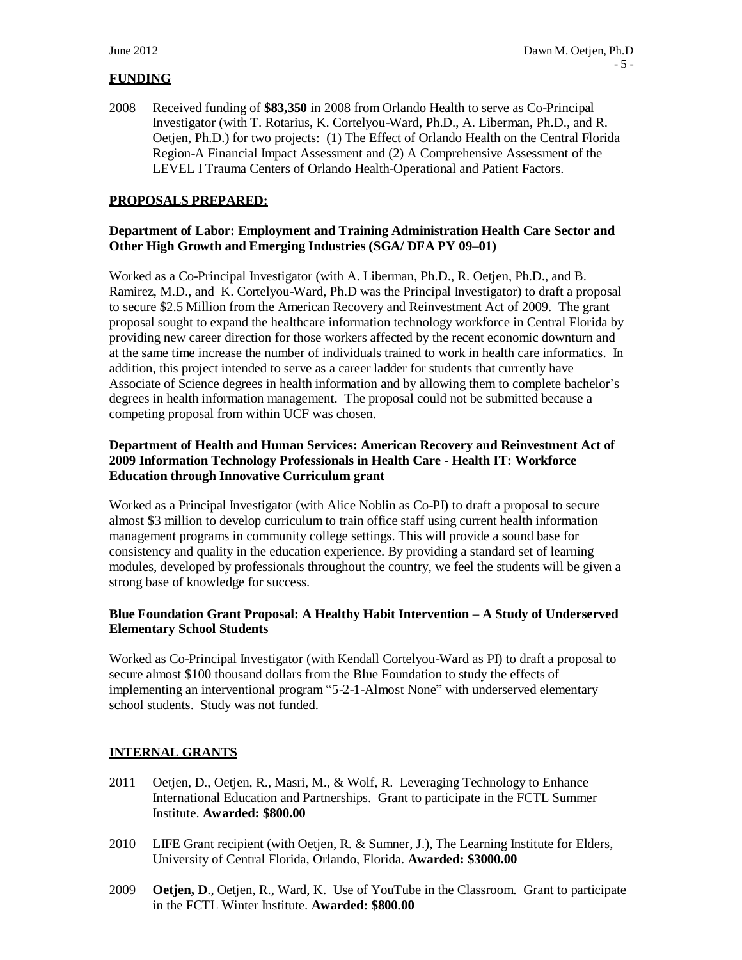### **FUNDING**

2008 Received funding of **\$83,350** in 2008 from Orlando Health to serve as Co-Principal Investigator (with T. Rotarius, K. Cortelyou-Ward, Ph.D., A. Liberman, Ph.D., and R. Oetjen, Ph.D.) for two projects: (1) The Effect of Orlando Health on the Central Florida Region-A Financial Impact Assessment and (2) A Comprehensive Assessment of the LEVEL I Trauma Centers of Orlando Health-Operational and Patient Factors.

# **PROPOSALS PREPARED:**

# **Department of Labor: Employment and Training Administration Health Care Sector and Other High Growth and Emerging Industries (SGA/ DFA PY 09–01)**

Worked as a Co-Principal Investigator (with A. Liberman, Ph.D., R. Oetjen, Ph.D., and B. Ramirez, M.D., and K. Cortelyou-Ward, Ph.D was the Principal Investigator) to draft a proposal to secure \$2.5 Million from the American Recovery and Reinvestment Act of 2009. The grant proposal sought to expand the healthcare information technology workforce in Central Florida by providing new career direction for those workers affected by the recent economic downturn and at the same time increase the number of individuals trained to work in health care informatics. In addition, this project intended to serve as a career ladder for students that currently have Associate of Science degrees in health information and by allowing them to complete bachelor's degrees in health information management. The proposal could not be submitted because a competing proposal from within UCF was chosen.

### **Department of Health and Human Services: American Recovery and Reinvestment Act of 2009 Information Technology Professionals in Health Care - Health IT: Workforce Education through Innovative Curriculum grant**

Worked as a Principal Investigator (with Alice Noblin as Co-PI) to draft a proposal to secure almost \$3 million to develop curriculum to train office staff using current health information management programs in community college settings. This will provide a sound base for consistency and quality in the education experience. By providing a standard set of learning modules, developed by professionals throughout the country, we feel the students will be given a strong base of knowledge for success.

### **Blue Foundation Grant Proposal: A Healthy Habit Intervention – A Study of Underserved Elementary School Students**

Worked as Co-Principal Investigator (with Kendall Cortelyou-Ward as PI) to draft a proposal to secure almost \$100 thousand dollars from the Blue Foundation to study the effects of implementing an interventional program "5-2-1-Almost None" with underserved elementary school students. Study was not funded.

### **INTERNAL GRANTS**

- 2011 Oetjen, D., Oetjen, R., Masri, M., & Wolf, R. Leveraging Technology to Enhance International Education and Partnerships. Grant to participate in the FCTL Summer Institute. **Awarded: \$800.00**
- 2010 LIFE Grant recipient (with Oetjen, R. & Sumner, J.), The Learning Institute for Elders, University of Central Florida, Orlando, Florida. **Awarded: \$3000.00**
- 2009 **Oetjen, D**., Oetjen, R., Ward, K. Use of YouTube in the Classroom. Grant to participate in the FCTL Winter Institute. **Awarded: \$800.00**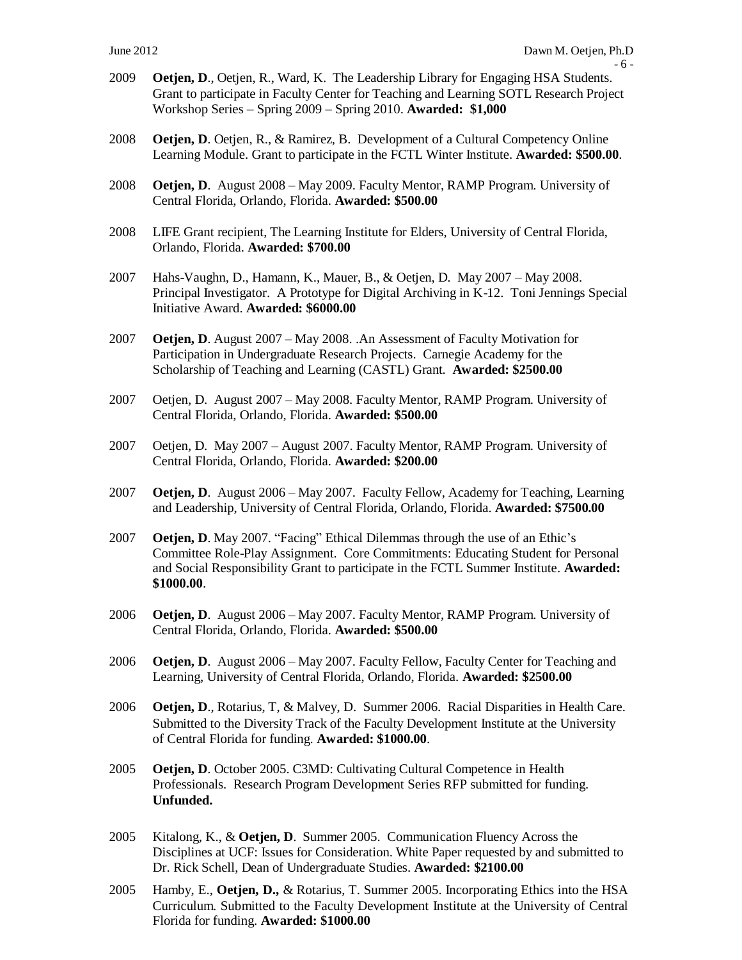- 6 -

- 2009 **Oetjen, D**., Oetjen, R., Ward, K. The Leadership Library for Engaging HSA Students. Grant to participate in Faculty Center for Teaching and Learning SOTL Research Project Workshop Series – Spring 2009 – Spring 2010. **Awarded: \$1,000**
- 2008 **Oetjen, D**. Oetjen, R., & Ramirez, B. Development of a Cultural Competency Online Learning Module. Grant to participate in the FCTL Winter Institute. **Awarded: \$500.00**.
- 2008 **Oetjen, D**. August 2008 May 2009. Faculty Mentor, RAMP Program. University of Central Florida, Orlando, Florida. **Awarded: \$500.00**
- 2008 LIFE Grant recipient, The Learning Institute for Elders, University of Central Florida, Orlando, Florida. **Awarded: \$700.00**
- 2007 Hahs-Vaughn, D., Hamann, K., Mauer, B., & Oetjen, D. May 2007 May 2008. Principal Investigator. A Prototype for Digital Archiving in K-12. Toni Jennings Special Initiative Award. **Awarded: \$6000.00**
- 2007 **Oetjen, D**. August 2007 May 2008. .An Assessment of Faculty Motivation for Participation in Undergraduate Research Projects. Carnegie Academy for the Scholarship of Teaching and Learning (CASTL) Grant. **Awarded: \$2500.00**
- 2007 Oetjen, D. August 2007 May 2008. Faculty Mentor, RAMP Program. University of Central Florida, Orlando, Florida. **Awarded: \$500.00**
- 2007 Oetjen, D. May 2007 August 2007. Faculty Mentor, RAMP Program. University of Central Florida, Orlando, Florida. **Awarded: \$200.00**
- 2007 **Oetjen, D**. August 2006 May 2007. Faculty Fellow, Academy for Teaching, Learning and Leadership, University of Central Florida, Orlando, Florida. **Awarded: \$7500.00**
- 2007 **Oetjen, D**. May 2007. "Facing" Ethical Dilemmas through the use of an Ethic's Committee Role-Play Assignment. Core Commitments: Educating Student for Personal and Social Responsibility Grant to participate in the FCTL Summer Institute. **Awarded: \$1000.00**.
- 2006 **Oetjen, D**. August 2006 May 2007. Faculty Mentor, RAMP Program. University of Central Florida, Orlando, Florida. **Awarded: \$500.00**
- 2006 **Oetjen, D**. August 2006 May 2007. Faculty Fellow, Faculty Center for Teaching and Learning, University of Central Florida, Orlando, Florida. **Awarded: \$2500.00**
- 2006 **Oetjen, D**., Rotarius, T, & Malvey, D. Summer 2006. Racial Disparities in Health Care. Submitted to the Diversity Track of the Faculty Development Institute at the University of Central Florida for funding. **Awarded: \$1000.00**.
- 2005 **Oetjen, D**. October 2005. C3MD: Cultivating Cultural Competence in Health Professionals. Research Program Development Series RFP submitted for funding. **Unfunded.**
- 2005 Kitalong, K., & **Oetjen, D**. Summer 2005. Communication Fluency Across the Disciplines at UCF: Issues for Consideration. White Paper requested by and submitted to Dr. Rick Schell, Dean of Undergraduate Studies. **Awarded: \$2100.00**
- 2005 Hamby, E., **Oetjen, D.,** & Rotarius, T. Summer 2005. Incorporating Ethics into the HSA Curriculum. Submitted to the Faculty Development Institute at the University of Central Florida for funding. **Awarded: \$1000.00**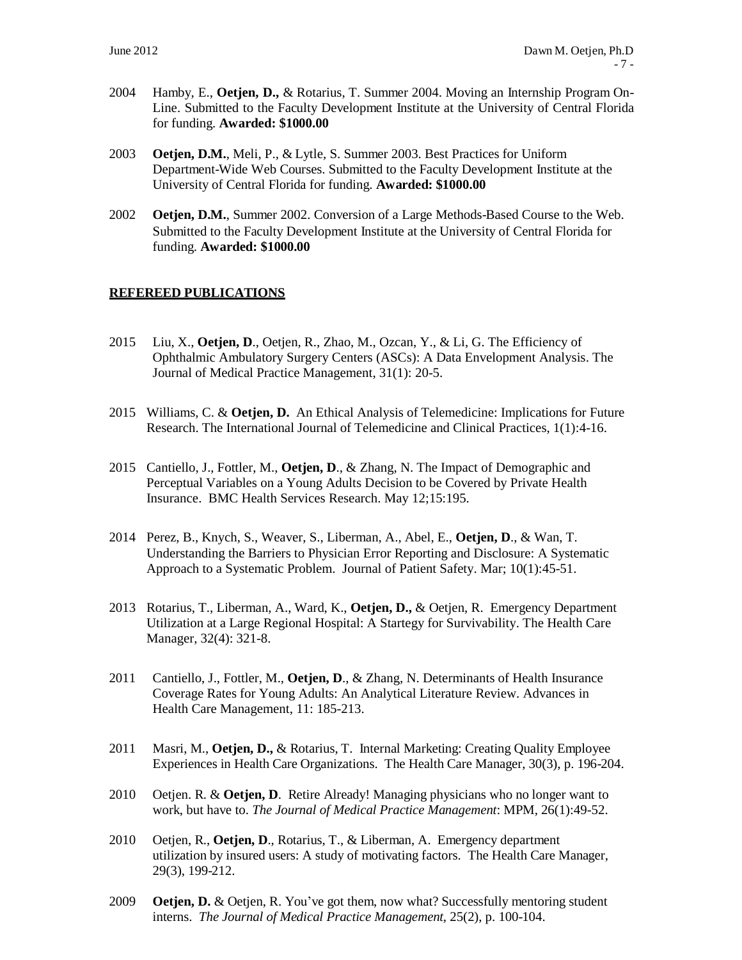- 2004 Hamby, E., **Oetjen, D.,** & Rotarius, T. Summer 2004. Moving an Internship Program On-Line. Submitted to the Faculty Development Institute at the University of Central Florida for funding. **Awarded: \$1000.00**
- 2003 **Oetjen, D.M.**, Meli, P., & Lytle, S. Summer 2003. Best Practices for Uniform Department-Wide Web Courses. Submitted to the Faculty Development Institute at the University of Central Florida for funding. **Awarded: \$1000.00**
- 2002 **Oetjen, D.M.**, Summer 2002. Conversion of a Large Methods-Based Course to the Web. Submitted to the Faculty Development Institute at the University of Central Florida for funding. **Awarded: \$1000.00**

# **REFEREED PUBLICATIONS**

- 2015 Liu, X., **Oetjen, D**., Oetjen, R., Zhao, M., Ozcan, Y., & Li, G. The Efficiency of Ophthalmic Ambulatory Surgery Centers (ASCs): A Data Envelopment Analysis. The Journal of Medical Practice Management, 31(1): 20-5.
- 2015 Williams, C. & **Oetjen, D.** An Ethical Analysis of Telemedicine: Implications for Future Research. The International Journal of Telemedicine and Clinical Practices, 1(1):4-16.
- 2015 Cantiello, J., Fottler, M., **Oetjen, D**., & Zhang, N. The Impact of Demographic and Perceptual Variables on a Young Adults Decision to be Covered by Private Health Insurance. BMC Health Services Research. May 12;15:195.
- 2014 Perez, B., Knych, S., Weaver, S., Liberman, A., Abel, E., **Oetjen, D**., & Wan, T. Understanding the Barriers to Physician Error Reporting and Disclosure: A Systematic Approach to a Systematic Problem. Journal of Patient Safety. Mar; 10(1):45-51.
- 2013 Rotarius, T., Liberman, A., Ward, K., **Oetjen, D.,** & Oetjen, R. Emergency Department Utilization at a Large Regional Hospital: A Startegy for Survivability. The Health Care Manager, 32(4): 321-8.
- 2011 Cantiello, J., Fottler, M., **Oetjen, D**., & Zhang, N. Determinants of Health Insurance Coverage Rates for Young Adults: An Analytical Literature Review. Advances in Health Care Management, 11: 185-213.
- 2011 Masri, M., **Oetjen, D.,** & Rotarius, T. Internal Marketing: Creating Quality Employee Experiences in Health Care Organizations. The Health Care Manager, 30(3), p. 196-204.
- 2010 Oetjen. R. & **Oetjen, D**. Retire Already! Managing physicians who no longer want to work, but have to. *The Journal of Medical Practice Management*: MPM, 26(1):49-52.
- 2010 Oetjen, R., **Oetjen, D**., Rotarius, T., & Liberman, A. Emergency department utilization by insured users: A study of motivating factors. The Health Care Manager, 29(3), 199-212.
- 2009 **Oetjen, D.** & Oetjen, R. You've got them, now what? Successfully mentoring student interns. *The Journal of Medical Practice Management*, 25(2), p. 100-104.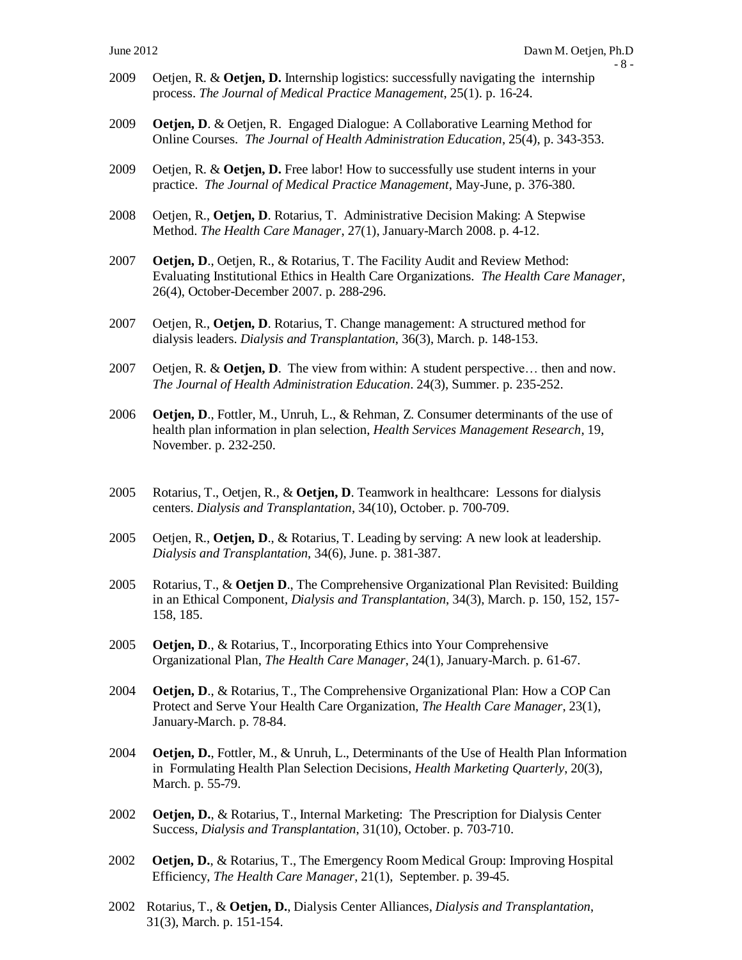- 2009 Oetjen, R. & **Oetjen, D.** Internship logistics: successfully navigating the internship process. *The Journal of Medical Practice Management*, 25(1). p. 16-24.
- 2009 **Oetjen, D**. & Oetjen, R. Engaged Dialogue: A Collaborative Learning Method for Online Courses. *The Journal of Health Administration Education*, 25(4), p. 343-353.
- 2009 Oetjen, R. & **Oetjen, D.** Free labor! How to successfully use student interns in your practice. *The Journal of Medical Practice Management*, May-June, p. 376-380.
- 2008 Oetjen, R., **Oetjen, D**. Rotarius, T. Administrative Decision Making: A Stepwise Method. *The Health Care Manager*, 27(1), January-March 2008. p. 4-12.
- 2007 **Oetjen, D**., Oetjen, R., & Rotarius, T. The Facility Audit and Review Method: Evaluating Institutional Ethics in Health Care Organizations. *The Health Care Manager*, 26(4), October-December 2007. p. 288-296.
- 2007 Oetjen, R., **Oetjen, D**. Rotarius, T. Change management: A structured method for dialysis leaders. *Dialysis and Transplantation*, 36(3), March. p. 148-153.
- 2007 Oetjen, R. & **Oetjen, D**. The view from within: A student perspective… then and now. *The Journal of Health Administration Education*. 24(3), Summer. p. 235-252.
- 2006 **Oetjen, D**., Fottler, M., Unruh, L., & Rehman, Z. Consumer determinants of the use of health plan information in plan selection, *Health Services Management Research*, 19, November. p. 232-250.
- 2005 Rotarius, T., Oetjen, R., & **Oetjen, D**. Teamwork in healthcare: Lessons for dialysis centers. *Dialysis and Transplantation*, 34(10), October. p. 700-709.
- 2005 Oetjen, R., **Oetjen, D**., & Rotarius, T. Leading by serving: A new look at leadership. *Dialysis and Transplantation*, 34(6), June. p. 381-387.
- 2005 Rotarius, T., & **Oetjen D**., The Comprehensive Organizational Plan Revisited: Building in an Ethical Component, *Dialysis and Transplantation*, 34(3), March. p. 150, 152, 157- 158, 185.
- 2005 **Oetjen, D**., & Rotarius, T., Incorporating Ethics into Your Comprehensive Organizational Plan, *The Health Care Manager*, 24(1), January-March. p. 61-67.
- 2004 **Oetjen, D**., & Rotarius, T., The Comprehensive Organizational Plan: How a COP Can Protect and Serve Your Health Care Organization, *The Health Care Manager*, 23(1), January-March. p. 78-84.
- 2004 **Oetjen, D.**, Fottler, M., & Unruh, L., Determinants of the Use of Health Plan Information in Formulating Health Plan Selection Decisions, *Health Marketing Quarterly*, 20(3), March. p. 55-79.
- 2002 **Oetjen, D.**, & Rotarius, T., Internal Marketing: The Prescription for Dialysis Center Success, *Dialysis and Transplantation*, 31(10), October. p. 703-710.
- 2002 **Oetjen, D.**, & Rotarius, T., The Emergency Room Medical Group: Improving Hospital Efficiency, *The Health Care Manager*, 21(1), September. p. 39-45.
- 2002 Rotarius, T., & **Oetjen, D.**, Dialysis Center Alliances, *Dialysis and Transplantation*, 31(3), March. p. 151-154.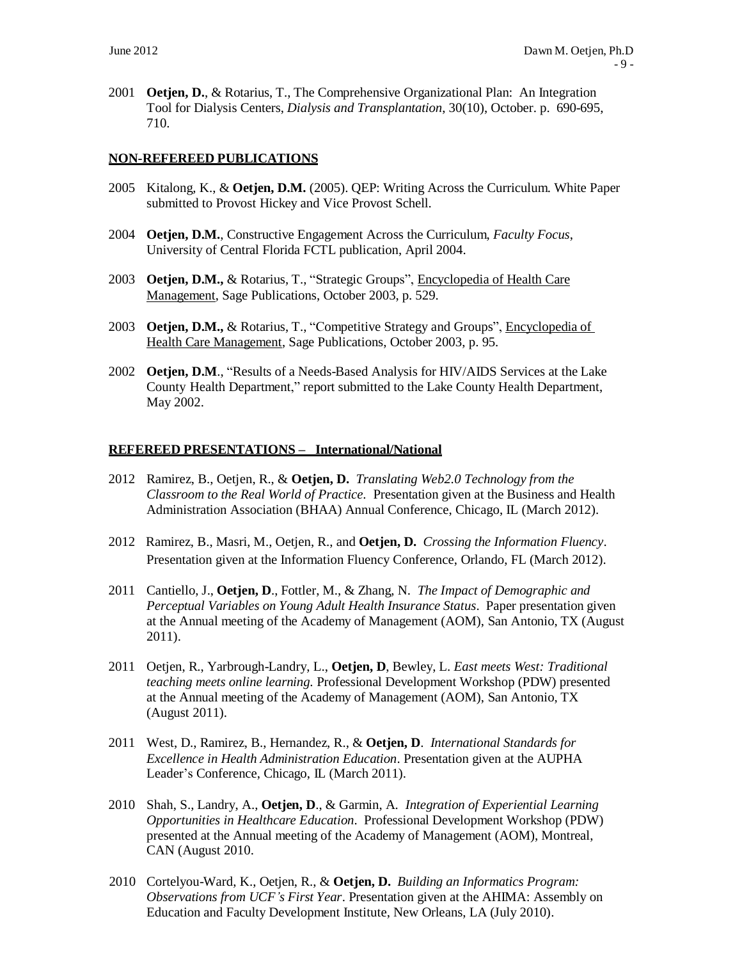2001 **Oetjen, D.**, & Rotarius, T., The Comprehensive Organizational Plan: An Integration Tool for Dialysis Centers, *Dialysis and Transplantation*, 30(10), October. p. 690-695, 710.

### **NON-REFEREED PUBLICATIONS**

- 2005 Kitalong, K., & **Oetjen, D.M.** (2005). QEP: Writing Across the Curriculum. White Paper submitted to Provost Hickey and Vice Provost Schell.
- 2004 **Oetjen, D.M.**, Constructive Engagement Across the Curriculum, *Faculty Focus*, University of Central Florida FCTL publication, April 2004.
- 2003 **Oetjen, D.M.,** & Rotarius, T., "Strategic Groups", Encyclopedia of Health Care Management, Sage Publications, October 2003, p. 529.
- 2003 **Oetjen, D.M., & Rotarius, T., "Competitive Strategy and Groups"**, *Encyclopedia of* Health Care Management, Sage Publications, October 2003, p. 95.
- 2002 **Oetjen, D.M**., "Results of a Needs-Based Analysis for HIV/AIDS Services at the Lake County Health Department," report submitted to the Lake County Health Department, May 2002.

#### **REFEREED PRESENTATIONS – International/National**

- 2012 Ramirez, B., Oetjen, R., & **Oetjen, D.** *Translating Web2.0 Technology from the Classroom to the Real World of Practice.* Presentation given at the Business and Health Administration Association (BHAA) Annual Conference, Chicago, IL (March 2012).
- 2012 Ramirez, B., Masri, M., Oetjen, R., and **Oetjen, D.** *Crossing the Information Fluency*. Presentation given at the Information Fluency Conference, Orlando, FL (March 2012).
- 2011 Cantiello, J., **Oetjen, D**., Fottler, M., & Zhang, N. *The Impact of Demographic and Perceptual Variables on Young Adult Health Insurance Status*. Paper presentation given at the Annual meeting of the Academy of Management (AOM), San Antonio, TX (August 2011).
- 2011 Oetjen, R., Yarbrough-Landry, L., **Oetjen, D**, Bewley, L. *East meets West: Traditional teaching meets online learning.* Professional Development Workshop (PDW) presented at the Annual meeting of the Academy of Management (AOM), San Antonio, TX (August 2011).
- 2011 West, D., Ramirez, B., Hernandez, R., & **Oetjen, D**. *International Standards for Excellence in Health Administration Education*. Presentation given at the AUPHA Leader's Conference, Chicago, IL (March 2011).
- 2010 Shah, S., Landry, A., **Oetjen, D**., & Garmin, A*. Integration of Experiential Learning Opportunities in Healthcare Education*. Professional Development Workshop (PDW) presented at the Annual meeting of the Academy of Management (AOM), Montreal, CAN (August 2010.
- 2010 Cortelyou-Ward, K., Oetjen, R., & **Oetjen, D.** *Building an Informatics Program: Observations from UCF's First Year*. Presentation given at the AHIMA: Assembly on Education and Faculty Development Institute, New Orleans, LA (July 2010).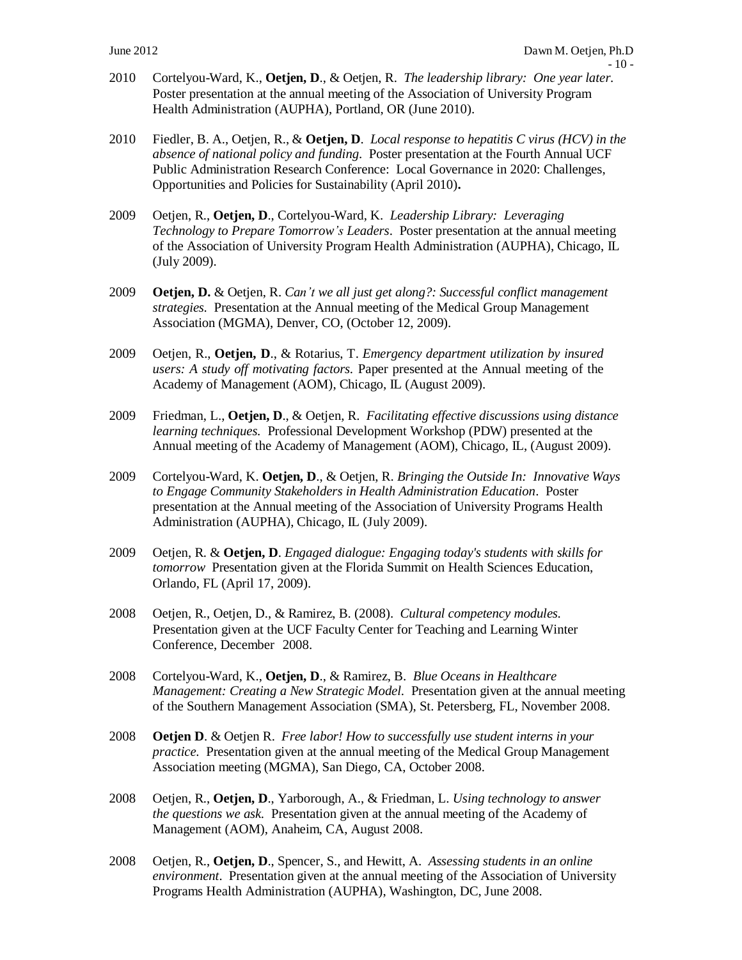- 2010 Cortelyou-Ward, K., **Oetjen, D**., & Oetjen, R. *The leadership library: One year later.* Poster presentation at the annual meeting of the Association of University Program Health Administration (AUPHA), Portland, OR (June 2010).
- 2010 Fiedler, B. A., Oetjen, R., & **Oetjen, D**. *Local response to hepatitis C virus (HCV) in the absence of national policy and funding*. Poster presentation at the Fourth Annual UCF Public Administration Research Conference: Local Governance in 2020: Challenges, Opportunities and Policies for Sustainability (April 2010)**.**
- 2009 Oetjen, R., **Oetjen, D**., Cortelyou-Ward, K. *Leadership Library: Leveraging Technology to Prepare Tomorrow's Leaders*. Poster presentation at the annual meeting of the Association of University Program Health Administration (AUPHA), Chicago, IL (July 2009).
- 2009 **Oetjen, D.** & Oetjen, R. *Can't we all just get along?: Successful conflict management strategies.* Presentation at the Annual meeting of the Medical Group Management Association (MGMA), Denver, CO, (October 12, 2009).
- 2009 Oetjen, R., **Oetjen, D**., & Rotarius, T. *Emergency department utilization by insured users: A study off motivating factors.* Paper presented at the Annual meeting of the Academy of Management (AOM), Chicago, IL (August 2009).
- 2009 Friedman, L., **Oetjen, D**., & Oetjen, R. *Facilitating effective discussions using distance learning techniques.* Professional Development Workshop (PDW) presented at the Annual meeting of the Academy of Management (AOM), Chicago, IL, (August 2009).
- 2009 Cortelyou-Ward, K. **Oetjen, D**., & Oetjen, R. *Bringing the Outside In: Innovative Ways to Engage Community Stakeholders in Health Administration Education*. Poster presentation at the Annual meeting of the Association of University Programs Health Administration (AUPHA), Chicago, IL (July 2009).
- 2009 Oetjen, R. & **Oetjen, D**. *Engaged dialogue: Engaging today's students with skills for tomorrow* Presentation given at the Florida Summit on Health Sciences Education, Orlando, FL (April 17, 2009).
- 2008 Oetjen, R., Oetjen, D., & Ramirez, B. (2008). *Cultural competency modules.* Presentation given at the UCF Faculty Center for Teaching and Learning Winter Conference, December 2008.
- 2008 Cortelyou-Ward, K., **Oetjen, D**., & Ramirez, B. *Blue Oceans in Healthcare Management: Creating a New Strategic Model.* Presentation given at the annual meeting of the Southern Management Association (SMA), St. Petersberg, FL, November 2008.
- 2008 **Oetjen D**. & Oetjen R. *Free labor! How to successfully use student interns in your practice.* Presentation given at the annual meeting of the Medical Group Management Association meeting (MGMA), San Diego, CA, October 2008.
- 2008 Oetjen, R., **Oetjen, D**., Yarborough, A., & Friedman, L. *Using technology to answer the questions we ask.* Presentation given at the annual meeting of the Academy of Management (AOM), Anaheim, CA, August 2008.
- 2008 Oetjen, R., **Oetjen, D**., Spencer, S., and Hewitt, A. *Assessing students in an online environment*. Presentation given at the annual meeting of the Association of University Programs Health Administration (AUPHA), Washington, DC, June 2008.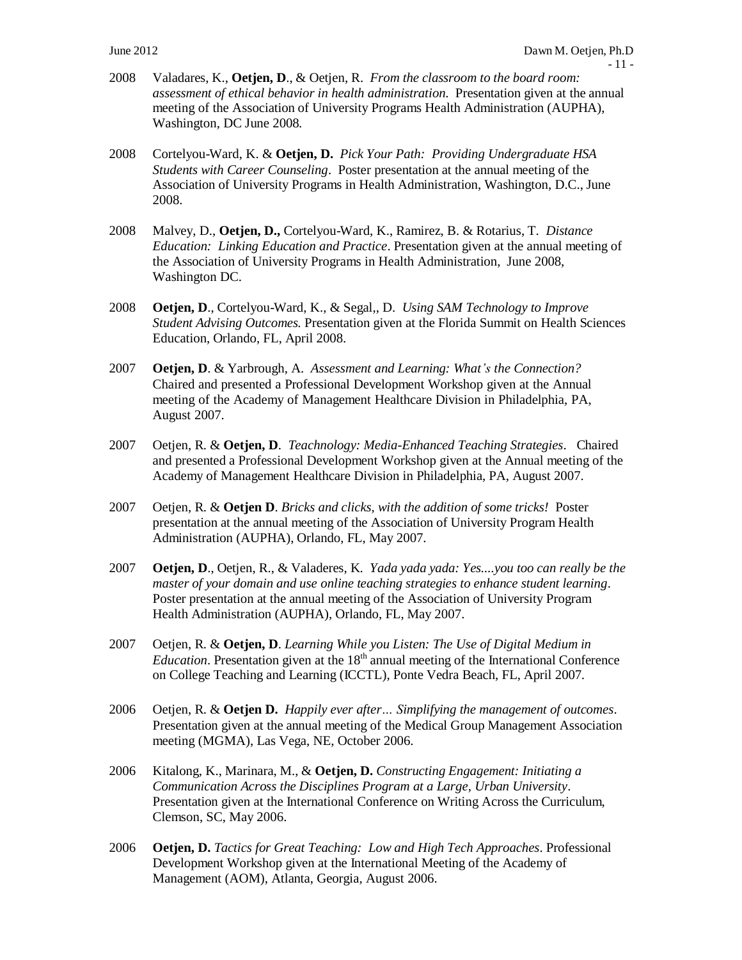- 2008 Valadares, K., **Oetjen, D**., & Oetjen, R. *From the classroom to the board room: assessment of ethical behavior in health administration*. Presentation given at the annual meeting of the Association of University Programs Health Administration (AUPHA), Washington, DC June 2008.
- 2008 Cortelyou-Ward, K. & **Oetjen, D.** *Pick Your Path: Providing Undergraduate HSA Students with Career Counseling*. Poster presentation at the annual meeting of the Association of University Programs in Health Administration, Washington, D.C., June 2008.
- 2008 Malvey, D., **Oetjen, D.,** Cortelyou-Ward, K., Ramirez, B. & Rotarius, T*. Distance Education: Linking Education and Practice*. Presentation given at the annual meeting of the Association of University Programs in Health Administration, June 2008, Washington DC.
- 2008 **Oetjen, D**., Cortelyou-Ward, K., & Segal,, D. *Using SAM Technology to Improve Student Advising Outcomes.* Presentation given at the Florida Summit on Health Sciences Education, Orlando, FL, April 2008.
- 2007 **Oetjen, D**. & Yarbrough, A. *Assessment and Learning: What's the Connection?* Chaired and presented a Professional Development Workshop given at the Annual meeting of the Academy of Management Healthcare Division in Philadelphia, PA, August 2007.
- 2007 Oetjen, R. & **Oetjen, D**. *Teachnology: Media-Enhanced Teaching Strategies*. Chaired and presented a Professional Development Workshop given at the Annual meeting of the Academy of Management Healthcare Division in Philadelphia, PA, August 2007.
- 2007 Oetjen, R. & **Oetjen D**. *Bricks and clicks, with the addition of some tricks!* Poster presentation at the annual meeting of the Association of University Program Health Administration (AUPHA), Orlando, FL, May 2007.
- 2007 **Oetjen, D**., Oetjen, R., & Valaderes, K*. Yada yada yada: Yes....you too can really be the master of your domain and use online teaching strategies to enhance student learning*. Poster presentation at the annual meeting of the Association of University Program Health Administration (AUPHA), Orlando, FL, May 2007.
- 2007 Oetjen, R. & **Oetjen, D**. *Learning While you Listen: The Use of Digital Medium in*  Education. Presentation given at the 18<sup>th</sup> annual meeting of the International Conference on College Teaching and Learning (ICCTL), Ponte Vedra Beach, FL, April 2007.
- 2006 Oetjen, R. & **Oetjen D.** *Happily ever after… Simplifying the management of outcomes*. Presentation given at the annual meeting of the Medical Group Management Association meeting (MGMA), Las Vega, NE, October 2006.
- 2006 Kitalong, K., Marinara, M., & **Oetjen, D.** *Constructing Engagement: Initiating a Communication Across the Disciplines Program at a Large, Urban University*. Presentation given at the International Conference on Writing Across the Curriculum, Clemson, SC, May 2006.
- 2006 **Oetjen, D.** *Tactics for Great Teaching: Low and High Tech Approaches*. Professional Development Workshop given at the International Meeting of the Academy of Management (AOM), Atlanta, Georgia, August 2006.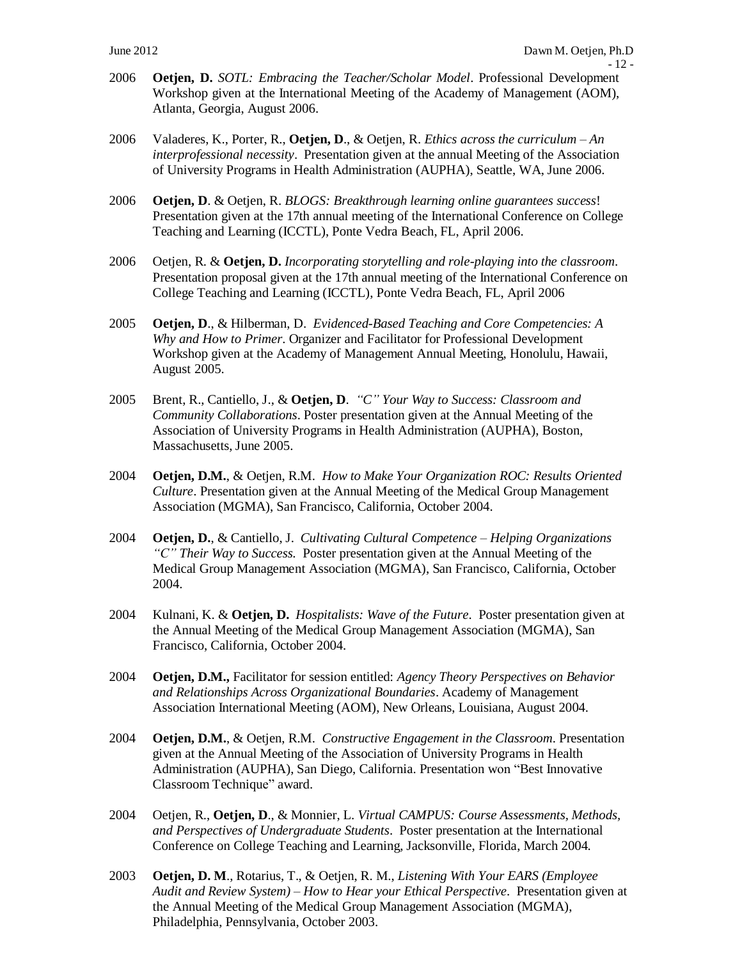- 2006 **Oetjen, D.** *SOTL: Embracing the Teacher/Scholar Model*. Professional Development Workshop given at the International Meeting of the Academy of Management (AOM), Atlanta, Georgia, August 2006.
- 2006 Valaderes, K., Porter, R., **Oetjen, D**., & Oetjen, R. *Ethics across the curriculum – An interprofessional necessity*. Presentation given at the annual Meeting of the Association of University Programs in Health Administration (AUPHA), Seattle, WA, June 2006.
- 2006 **Oetjen, D**. & Oetjen, R. *BLOGS: Breakthrough learning online guarantees success*! Presentation given at the 17th annual meeting of the International Conference on College Teaching and Learning (ICCTL), Ponte Vedra Beach, FL, April 2006.
- 2006 Oetjen, R. & **Oetjen, D.** *Incorporating storytelling and role-playing into the classroom*. Presentation proposal given at the 17th annual meeting of the International Conference on College Teaching and Learning (ICCTL), Ponte Vedra Beach, FL, April 2006
- 2005 **Oetjen, D**., & Hilberman, D. *Evidenced-Based Teaching and Core Competencies: A Why and How to Primer*. Organizer and Facilitator for Professional Development Workshop given at the Academy of Management Annual Meeting, Honolulu, Hawaii, August 2005.
- 2005 Brent, R., Cantiello, J., & **Oetjen, D**. *"C" Your Way to Success: Classroom and Community Collaborations*. Poster presentation given at the Annual Meeting of the Association of University Programs in Health Administration (AUPHA), Boston, Massachusetts, June 2005.
- 2004 **Oetjen, D.M.**, & Oetjen, R.M. *How to Make Your Organization ROC: Results Oriented Culture*. Presentation given at the Annual Meeting of the Medical Group Management Association (MGMA), San Francisco, California, October 2004.
- 2004 **Oetjen, D.**, & Cantiello, J. *Cultivating Cultural Competence – Helping Organizations "C" Their Way to Success.* Poster presentation given at the Annual Meeting of the Medical Group Management Association (MGMA), San Francisco, California, October 2004.
- 2004 Kulnani, K. & **Oetjen, D.** *Hospitalists: Wave of the Future*. Poster presentation given at the Annual Meeting of the Medical Group Management Association (MGMA), San Francisco, California, October 2004.
- 2004 **Oetjen, D.M.,** Facilitator for session entitled: *Agency Theory Perspectives on Behavior and Relationships Across Organizational Boundaries*. Academy of Management Association International Meeting (AOM), New Orleans, Louisiana, August 2004.
- 2004 **Oetjen, D.M.**, & Oetjen, R.M. *Constructive Engagement in the Classroom*. Presentation given at the Annual Meeting of the Association of University Programs in Health Administration (AUPHA), San Diego, California. Presentation won "Best Innovative Classroom Technique" award.
- 2004 Oetjen, R., **Oetjen, D**., & Monnier, L. *Virtual CAMPUS: Course Assessments, Methods, and Perspectives of Undergraduate Students*. Poster presentation at the International Conference on College Teaching and Learning, Jacksonville, Florida, March 2004.
- 2003 **Oetjen, D. M**., Rotarius, T., & Oetjen, R. M., *Listening With Your EARS (Employee Audit and Review System) – How to Hear your Ethical Perspective*. Presentation given at the Annual Meeting of the Medical Group Management Association (MGMA), Philadelphia, Pennsylvania, October 2003.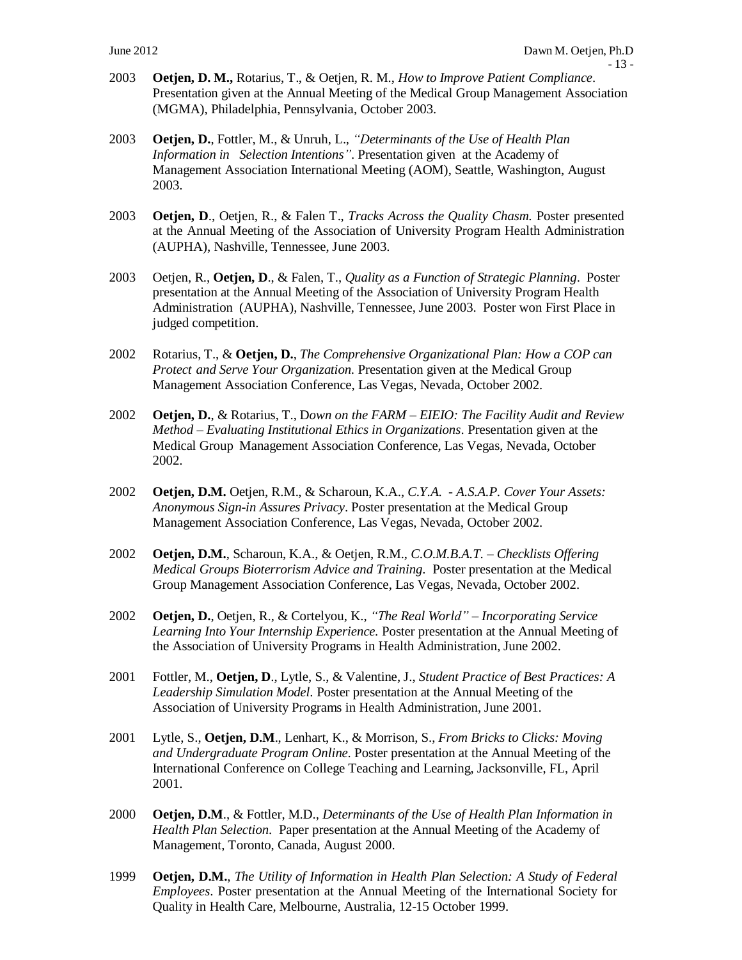- 2003 **Oetjen, D. M.,** Rotarius, T., & Oetjen, R. M., *How to Improve Patient Compliance*. Presentation given at the Annual Meeting of the Medical Group Management Association (MGMA), Philadelphia, Pennsylvania, October 2003.
- 2003 **Oetjen, D.**, Fottler, M., & Unruh, L., *"Determinants of the Use of Health Plan Information in Selection Intentions"*. Presentation given at the Academy of Management Association International Meeting (AOM), Seattle, Washington, August 2003.
- 2003 **Oetjen, D**., Oetjen, R., & Falen T., *Tracks Across the Quality Chasm.* Poster presented at the Annual Meeting of the Association of University Program Health Administration (AUPHA), Nashville, Tennessee, June 2003.
- 2003 Oetjen, R., **Oetjen, D**., & Falen, T., *Quality as a Function of Strategic Planning*. Poster presentation at the Annual Meeting of the Association of University Program Health Administration (AUPHA), Nashville, Tennessee, June 2003. Poster won First Place in judged competition.
- 2002 Rotarius, T., & **Oetjen, D.**, *The Comprehensive Organizational Plan: How a COP can Protect and Serve Your Organization.* Presentation given at the Medical Group Management Association Conference, Las Vegas, Nevada, October 2002.
- 2002 **Oetjen, D.**, & Rotarius, T., D*own on the FARM – EIEIO: The Facility Audit and Review Method – Evaluating Institutional Ethics in Organizations.* Presentation given at the Medical Group Management Association Conference, Las Vegas, Nevada, October 2002.
- 2002 **Oetjen, D.M.** Oetjen, R.M., & Scharoun, K.A., *C.Y.A. - A.S.A.P. Cover Your Assets: Anonymous Sign-in Assures Privacy*. Poster presentation at the Medical Group Management Association Conference, Las Vegas, Nevada, October 2002.
- 2002 **Oetjen, D.M.**, Scharoun, K.A., & Oetjen, R.M., *C.O.M.B.A.T. – Checklists Offering Medical Groups Bioterrorism Advice and Training.* Poster presentation at the Medical Group Management Association Conference, Las Vegas, Nevada, October 2002.
- 2002 **Oetjen, D.**, Oetjen, R., & Cortelyou, K., *"The Real World" – Incorporating Service Learning Into Your Internship Experience.* Poster presentation at the Annual Meeting of the Association of University Programs in Health Administration, June 2002.
- 2001 Fottler, M., **Oetjen, D**., Lytle, S., & Valentine, J., *Student Practice of Best Practices: A Leadership Simulation Model.* Poster presentation at the Annual Meeting of the Association of University Programs in Health Administration, June 2001.
- 2001 Lytle, S., **Oetjen, D.M**., Lenhart, K., & Morrison, S., *From Bricks to Clicks: Moving and Undergraduate Program Online.* Poster presentation at the Annual Meeting of the International Conference on College Teaching and Learning, Jacksonville, FL, April 2001.
- 2000 **Oetjen, D.M**., & Fottler, M.D., *Determinants of the Use of Health Plan Information in Health Plan Selection.* Paper presentation at the Annual Meeting of the Academy of Management, Toronto, Canada, August 2000.
- 1999 **Oetjen, D.M.**, *The Utility of Information in Health Plan Selection: A Study of Federal Employees*. Poster presentation at the Annual Meeting of the International Society for Quality in Health Care, Melbourne, Australia, 12-15 October 1999.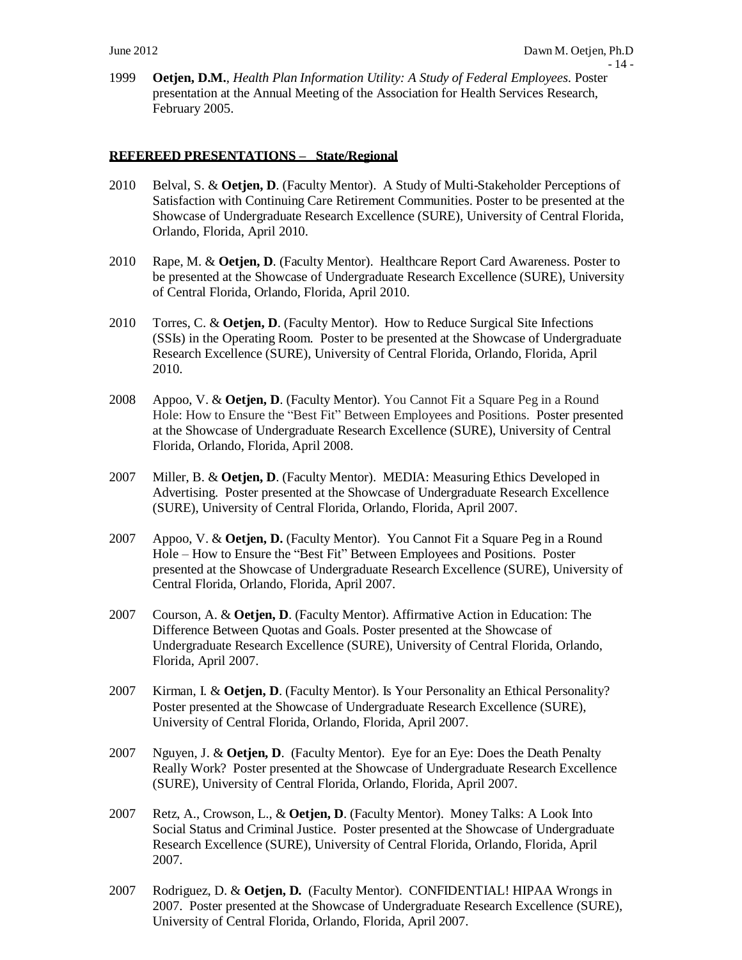1999 **Oetjen, D.M.**, *Health Plan Information Utility: A Study of Federal Employees.* Poster presentation at the Annual Meeting of the Association for Health Services Research, February 2005.

#### **REFEREED PRESENTATIONS – State/Regional**

- 2010 Belval, S. & **Oetjen, D**. (Faculty Mentor). A Study of Multi-Stakeholder Perceptions of Satisfaction with Continuing Care Retirement Communities. Poster to be presented at the Showcase of Undergraduate Research Excellence (SURE), University of Central Florida, Orlando, Florida, April 2010.
- 2010 Rape, M. & **Oetjen, D**. (Faculty Mentor). Healthcare Report Card Awareness. Poster to be presented at the Showcase of Undergraduate Research Excellence (SURE), University of Central Florida, Orlando, Florida, April 2010.
- 2010 Torres, C. & **Oetjen, D**. (Faculty Mentor). How to Reduce Surgical Site Infections (SSIs) in the Operating Room. Poster to be presented at the Showcase of Undergraduate Research Excellence (SURE), University of Central Florida, Orlando, Florida, April 2010.
- 2008 Appoo, V. & **Oetjen, D**. (Faculty Mentor). You Cannot Fit a Square Peg in a Round Hole: How to Ensure the "Best Fit" Between Employees and Positions. Poster presented at the Showcase of Undergraduate Research Excellence (SURE), University of Central Florida, Orlando, Florida, April 2008.
- 2007 Miller, B. & **Oetjen, D**. (Faculty Mentor). MEDIA: Measuring Ethics Developed in Advertising. Poster presented at the Showcase of Undergraduate Research Excellence (SURE), University of Central Florida, Orlando, Florida, April 2007.
- 2007 Appoo, V. & **Oetjen, D.** (Faculty Mentor). You Cannot Fit a Square Peg in a Round Hole – How to Ensure the "Best Fit" Between Employees and Positions. Poster presented at the Showcase of Undergraduate Research Excellence (SURE), University of Central Florida, Orlando, Florida, April 2007.
- 2007 Courson, A. & **Oetjen, D**. (Faculty Mentor). Affirmative Action in Education: The Difference Between Quotas and Goals. Poster presented at the Showcase of Undergraduate Research Excellence (SURE), University of Central Florida, Orlando, Florida, April 2007.
- 2007 Kirman, I. & **Oetjen, D**. (Faculty Mentor). Is Your Personality an Ethical Personality? Poster presented at the Showcase of Undergraduate Research Excellence (SURE), University of Central Florida, Orlando, Florida, April 2007.
- 2007 Nguyen, J. & **Oetjen, D**. (Faculty Mentor). Eye for an Eye: Does the Death Penalty Really Work? Poster presented at the Showcase of Undergraduate Research Excellence (SURE), University of Central Florida, Orlando, Florida, April 2007.
- 2007 Retz, A., Crowson, L., & **Oetjen, D**. (Faculty Mentor). Money Talks: A Look Into Social Status and Criminal Justice. Poster presented at the Showcase of Undergraduate Research Excellence (SURE), University of Central Florida, Orlando, Florida, April 2007.
- 2007 Rodriguez, D. & **Oetjen, D.** (Faculty Mentor). CONFIDENTIAL! HIPAA Wrongs in 2007. Poster presented at the Showcase of Undergraduate Research Excellence (SURE), University of Central Florida, Orlando, Florida, April 2007.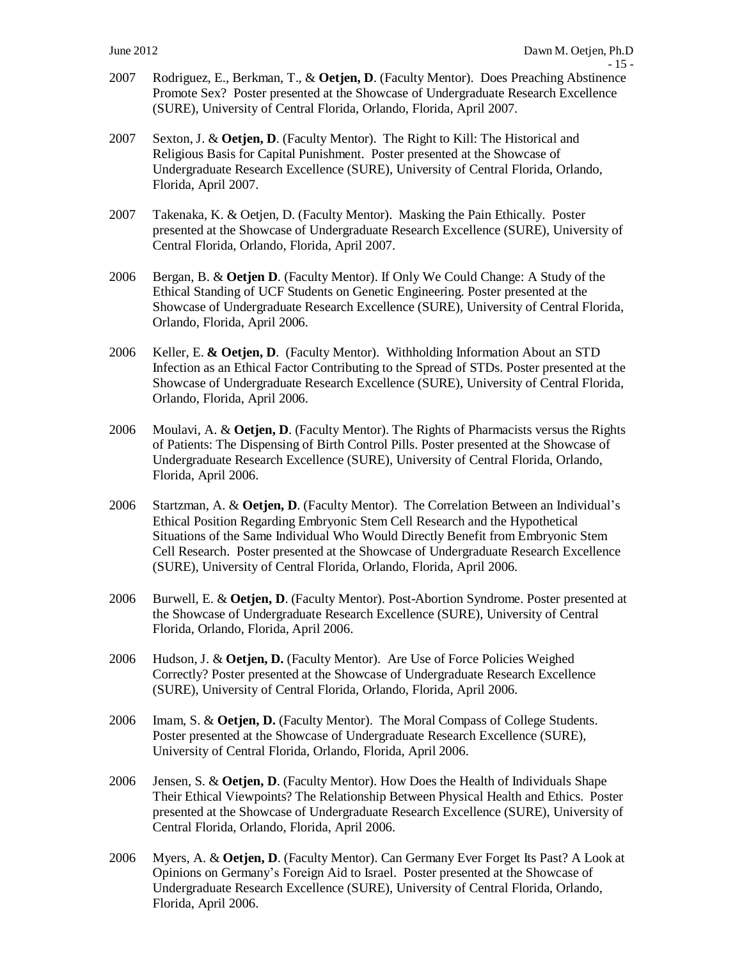- 2007 Rodriguez, E., Berkman, T., & **Oetjen, D**. (Faculty Mentor). Does Preaching Abstinence Promote Sex? Poster presented at the Showcase of Undergraduate Research Excellence (SURE), University of Central Florida, Orlando, Florida, April 2007.
- 2007 Sexton, J. & **Oetjen, D**. (Faculty Mentor). The Right to Kill: The Historical and Religious Basis for Capital Punishment. Poster presented at the Showcase of Undergraduate Research Excellence (SURE), University of Central Florida, Orlando, Florida, April 2007.
- 2007 Takenaka, K. & Oetjen, D. (Faculty Mentor). Masking the Pain Ethically. Poster presented at the Showcase of Undergraduate Research Excellence (SURE), University of Central Florida, Orlando, Florida, April 2007.
- 2006 Bergan, B. & **Oetjen D**. (Faculty Mentor). If Only We Could Change: A Study of the Ethical Standing of UCF Students on Genetic Engineering. Poster presented at the Showcase of Undergraduate Research Excellence (SURE), University of Central Florida, Orlando, Florida, April 2006.
- 2006 Keller, E. **& Oetjen, D**. (Faculty Mentor). Withholding Information About an STD Infection as an Ethical Factor Contributing to the Spread of STDs. Poster presented at the Showcase of Undergraduate Research Excellence (SURE), University of Central Florida, Orlando, Florida, April 2006.
- 2006 Moulavi, A. & **Oetjen, D**. (Faculty Mentor). The Rights of Pharmacists versus the Rights of Patients: The Dispensing of Birth Control Pills. Poster presented at the Showcase of Undergraduate Research Excellence (SURE), University of Central Florida, Orlando, Florida, April 2006.
- 2006 Startzman, A. & **Oetjen, D**. (Faculty Mentor). The Correlation Between an Individual's Ethical Position Regarding Embryonic Stem Cell Research and the Hypothetical Situations of the Same Individual Who Would Directly Benefit from Embryonic Stem Cell Research. Poster presented at the Showcase of Undergraduate Research Excellence (SURE), University of Central Florida, Orlando, Florida, April 2006.
- 2006 Burwell, E. & **Oetjen, D**. (Faculty Mentor). Post-Abortion Syndrome. Poster presented at the Showcase of Undergraduate Research Excellence (SURE), University of Central Florida, Orlando, Florida, April 2006.
- 2006 Hudson, J. & **Oetjen, D.** (Faculty Mentor). Are Use of Force Policies Weighed Correctly? Poster presented at the Showcase of Undergraduate Research Excellence (SURE), University of Central Florida, Orlando, Florida, April 2006.
- 2006 Imam, S. & **Oetjen, D.** (Faculty Mentor). The Moral Compass of College Students. Poster presented at the Showcase of Undergraduate Research Excellence (SURE), University of Central Florida, Orlando, Florida, April 2006.
- 2006 Jensen, S. & **Oetjen, D**. (Faculty Mentor). How Does the Health of Individuals Shape Their Ethical Viewpoints? The Relationship Between Physical Health and Ethics. Poster presented at the Showcase of Undergraduate Research Excellence (SURE), University of Central Florida, Orlando, Florida, April 2006.
- 2006 Myers, A. & **Oetjen, D**. (Faculty Mentor). Can Germany Ever Forget Its Past? A Look at Opinions on Germany's Foreign Aid to Israel. Poster presented at the Showcase of Undergraduate Research Excellence (SURE), University of Central Florida, Orlando, Florida, April 2006.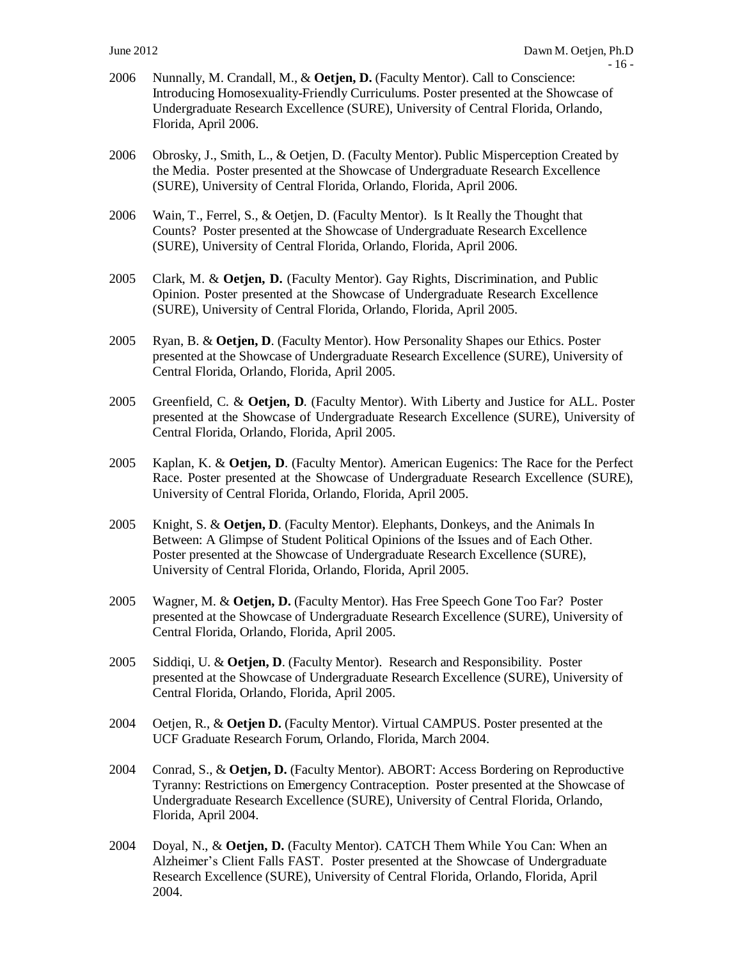- 2006 Nunnally, M. Crandall, M., & **Oetjen, D.** (Faculty Mentor). Call to Conscience: Introducing Homosexuality-Friendly Curriculums. Poster presented at the Showcase of Undergraduate Research Excellence (SURE), University of Central Florida, Orlando, Florida, April 2006.
- 2006 Obrosky, J., Smith, L., & Oetjen, D. (Faculty Mentor). Public Misperception Created by the Media. Poster presented at the Showcase of Undergraduate Research Excellence (SURE), University of Central Florida, Orlando, Florida, April 2006.
- 2006 Wain, T., Ferrel, S., & Oetjen, D. (Faculty Mentor). Is It Really the Thought that Counts? Poster presented at the Showcase of Undergraduate Research Excellence (SURE), University of Central Florida, Orlando, Florida, April 2006.
- 2005 Clark, M. & **Oetjen, D.** (Faculty Mentor). Gay Rights, Discrimination, and Public Opinion. Poster presented at the Showcase of Undergraduate Research Excellence (SURE), University of Central Florida, Orlando, Florida, April 2005.
- 2005 Ryan, B. & **Oetjen, D**. (Faculty Mentor). How Personality Shapes our Ethics. Poster presented at the Showcase of Undergraduate Research Excellence (SURE), University of Central Florida, Orlando, Florida, April 2005.
- 2005 Greenfield, C. & **Oetjen, D**. (Faculty Mentor). With Liberty and Justice for ALL. Poster presented at the Showcase of Undergraduate Research Excellence (SURE), University of Central Florida, Orlando, Florida, April 2005.
- 2005 Kaplan, K. & **Oetjen, D**. (Faculty Mentor). American Eugenics: The Race for the Perfect Race. Poster presented at the Showcase of Undergraduate Research Excellence (SURE), University of Central Florida, Orlando, Florida, April 2005.
- 2005 Knight, S. & **Oetjen, D**. (Faculty Mentor). Elephants, Donkeys, and the Animals In Between: A Glimpse of Student Political Opinions of the Issues and of Each Other. Poster presented at the Showcase of Undergraduate Research Excellence (SURE), University of Central Florida, Orlando, Florida, April 2005.
- 2005 Wagner, M. & **Oetjen, D.** (Faculty Mentor). Has Free Speech Gone Too Far? Poster presented at the Showcase of Undergraduate Research Excellence (SURE), University of Central Florida, Orlando, Florida, April 2005.
- 2005 Siddiqi, U. & **Oetjen, D**. (Faculty Mentor). Research and Responsibility. Poster presented at the Showcase of Undergraduate Research Excellence (SURE), University of Central Florida, Orlando, Florida, April 2005.
- 2004 Oetjen, R., & **Oetjen D.** (Faculty Mentor). Virtual CAMPUS. Poster presented at the UCF Graduate Research Forum, Orlando, Florida, March 2004.
- 2004 Conrad, S., & **Oetjen, D.** (Faculty Mentor). ABORT: Access Bordering on Reproductive Tyranny: Restrictions on Emergency Contraception. Poster presented at the Showcase of Undergraduate Research Excellence (SURE), University of Central Florida, Orlando, Florida, April 2004.
- 2004 Doyal, N., & **Oetjen, D.** (Faculty Mentor). CATCH Them While You Can: When an Alzheimer's Client Falls FAST. Poster presented at the Showcase of Undergraduate Research Excellence (SURE), University of Central Florida, Orlando, Florida, April 2004.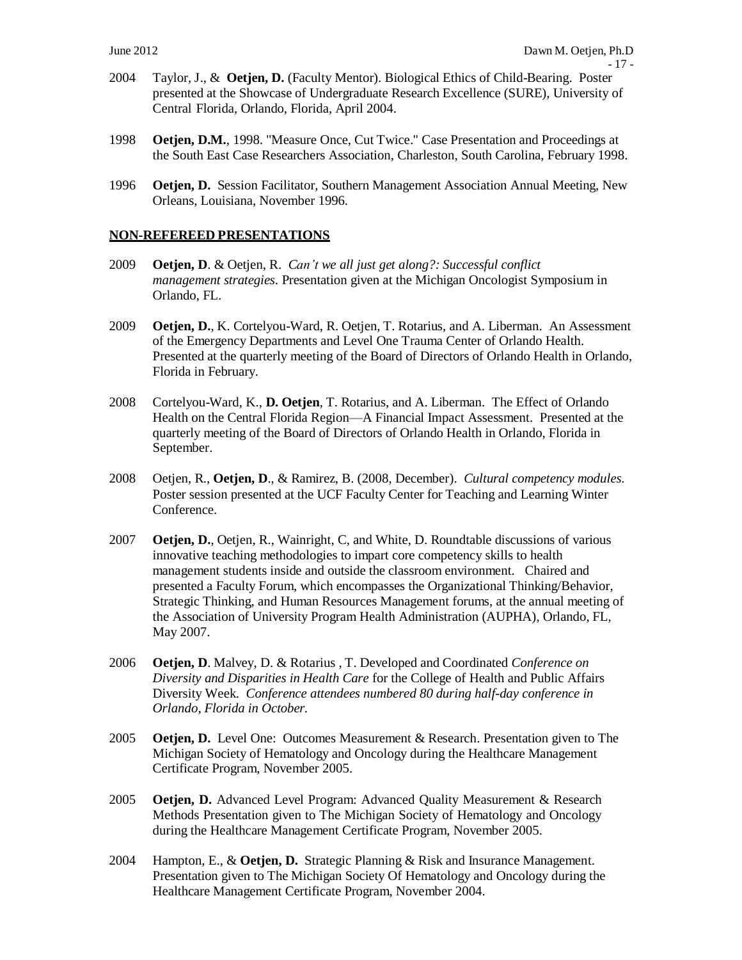- 2004 Taylor, J., & **Oetjen, D.** (Faculty Mentor). Biological Ethics of Child-Bearing. Poster presented at the Showcase of Undergraduate Research Excellence (SURE), University of Central Florida, Orlando, Florida, April 2004.
- 1998 **Oetjen, D.M.**, 1998. "Measure Once, Cut Twice." Case Presentation and Proceedings at the South East Case Researchers Association, Charleston, South Carolina, February 1998.
- 1996 **Oetjen, D.** Session Facilitator, Southern Management Association Annual Meeting, New Orleans, Louisiana, November 1996.

#### **NON-REFEREED PRESENTATIONS**

- 2009 **Oetjen, D**. & Oetjen, R. *Can't we all just get along?: Successful conflict management strategies.* Presentation given at the Michigan Oncologist Symposium in Orlando, FL.
- 2009 **Oetjen, D.**, K. Cortelyou-Ward, R. Oetjen, T. Rotarius, and A. Liberman. An Assessment of the Emergency Departments and Level One Trauma Center of Orlando Health. Presented at the quarterly meeting of the Board of Directors of Orlando Health in Orlando, Florida in February.
- 2008 Cortelyou-Ward, K., **D. Oetjen**, T. Rotarius, and A. Liberman. The Effect of Orlando Health on the Central Florida Region—A Financial Impact Assessment. Presented at the quarterly meeting of the Board of Directors of Orlando Health in Orlando, Florida in September.
- 2008 Oetjen, R., **Oetjen, D**., & Ramirez, B. (2008, December). *Cultural competency modules.* Poster session presented at the UCF Faculty Center for Teaching and Learning Winter Conference.
- 2007 **Oetjen, D.**, Oetjen, R., Wainright, C, and White, D. Roundtable discussions of various innovative teaching methodologies to impart core competency skills to health management students inside and outside the classroom environment. Chaired and presented a Faculty Forum, which encompasses the Organizational Thinking/Behavior, Strategic Thinking, and Human Resources Management forums, at the annual meeting of the Association of University Program Health Administration (AUPHA), Orlando, FL, May 2007.
- 2006 **Oetjen, D**. Malvey, D. & Rotarius , T. Developed and Coordinated *Conference on Diversity and Disparities in Health Care* for the College of Health and Public Affairs Diversity Week. *Conference attendees numbered 80 during half-day conference in Orlando, Florida in October.*
- 2005 **Oetjen, D.** Level One: Outcomes Measurement & Research. Presentation given to The Michigan Society of Hematology and Oncology during the Healthcare Management Certificate Program, November 2005.
- 2005 **Oetjen, D.** Advanced Level Program: Advanced Quality Measurement & Research Methods Presentation given to The Michigan Society of Hematology and Oncology during the Healthcare Management Certificate Program, November 2005.
- 2004 Hampton, E., & **Oetjen, D.** Strategic Planning & Risk and Insurance Management. Presentation given to The Michigan Society Of Hematology and Oncology during the Healthcare Management Certificate Program, November 2004.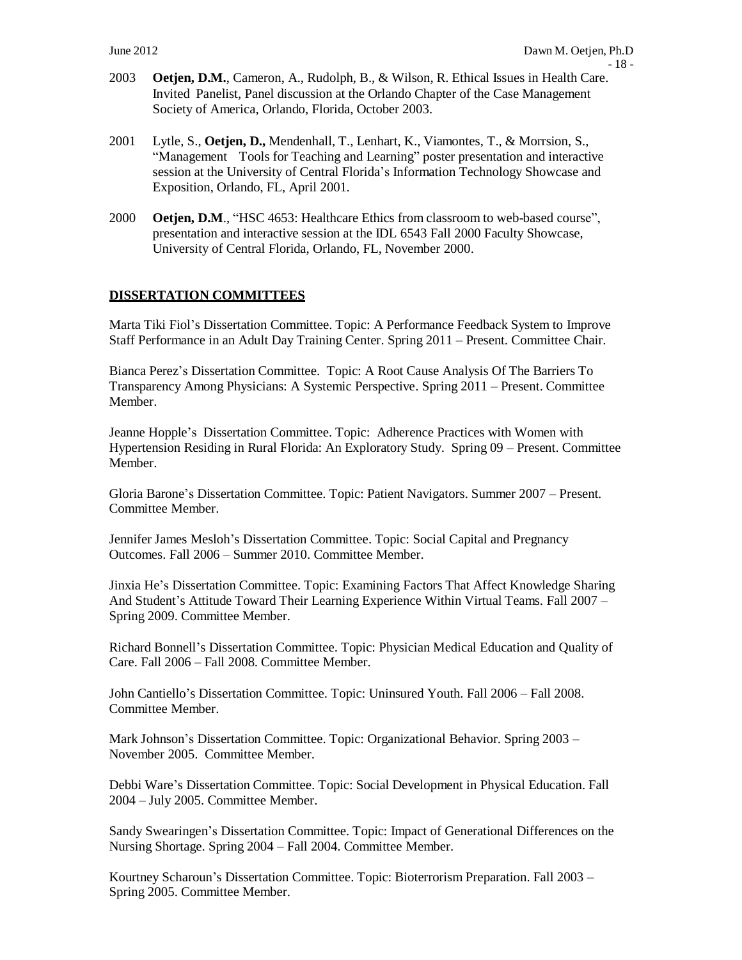- 2003 **Oetjen, D.M.**, Cameron, A., Rudolph, B., & Wilson, R. Ethical Issues in Health Care. Invited Panelist, Panel discussion at the Orlando Chapter of the Case Management Society of America, Orlando, Florida, October 2003.
- 2001 Lytle, S., **Oetjen, D.,** Mendenhall, T., Lenhart, K., Viamontes, T., & Morrsion, S., "Management Tools for Teaching and Learning" poster presentation and interactive session at the University of Central Florida's Information Technology Showcase and Exposition, Orlando, FL, April 2001.
- 2000 **Oetjen, D.M.,** "HSC 4653: Healthcare Ethics from classroom to web-based course", presentation and interactive session at the IDL 6543 Fall 2000 Faculty Showcase, University of Central Florida, Orlando, FL, November 2000.

### **DISSERTATION COMMITTEES**

Marta Tiki Fiol's Dissertation Committee. Topic: A Performance Feedback System to Improve Staff Performance in an Adult Day Training Center. Spring 2011 – Present. Committee Chair.

Bianca Perez's Dissertation Committee. Topic: A Root Cause Analysis Of The Barriers To Transparency Among Physicians: A Systemic Perspective. Spring 2011 – Present. Committee Member.

Jeanne Hopple's Dissertation Committee. Topic: Adherence Practices with Women with Hypertension Residing in Rural Florida: An Exploratory Study. Spring 09 – Present. Committee Member.

Gloria Barone's Dissertation Committee. Topic: Patient Navigators. Summer 2007 – Present. Committee Member.

Jennifer James Mesloh's Dissertation Committee. Topic: Social Capital and Pregnancy Outcomes. Fall 2006 – Summer 2010. Committee Member.

Jinxia He's Dissertation Committee. Topic: Examining Factors That Affect Knowledge Sharing And Student's Attitude Toward Their Learning Experience Within Virtual Teams. Fall 2007 – Spring 2009. Committee Member.

Richard Bonnell's Dissertation Committee. Topic: Physician Medical Education and Quality of Care. Fall 2006 – Fall 2008. Committee Member.

John Cantiello's Dissertation Committee. Topic: Uninsured Youth. Fall 2006 – Fall 2008. Committee Member.

Mark Johnson's Dissertation Committee. Topic: Organizational Behavior. Spring 2003 – November 2005. Committee Member.

Debbi Ware's Dissertation Committee. Topic: Social Development in Physical Education. Fall 2004 – July 2005. Committee Member.

Sandy Swearingen's Dissertation Committee. Topic: Impact of Generational Differences on the Nursing Shortage. Spring 2004 – Fall 2004. Committee Member.

Kourtney Scharoun's Dissertation Committee. Topic: Bioterrorism Preparation. Fall 2003 – Spring 2005. Committee Member.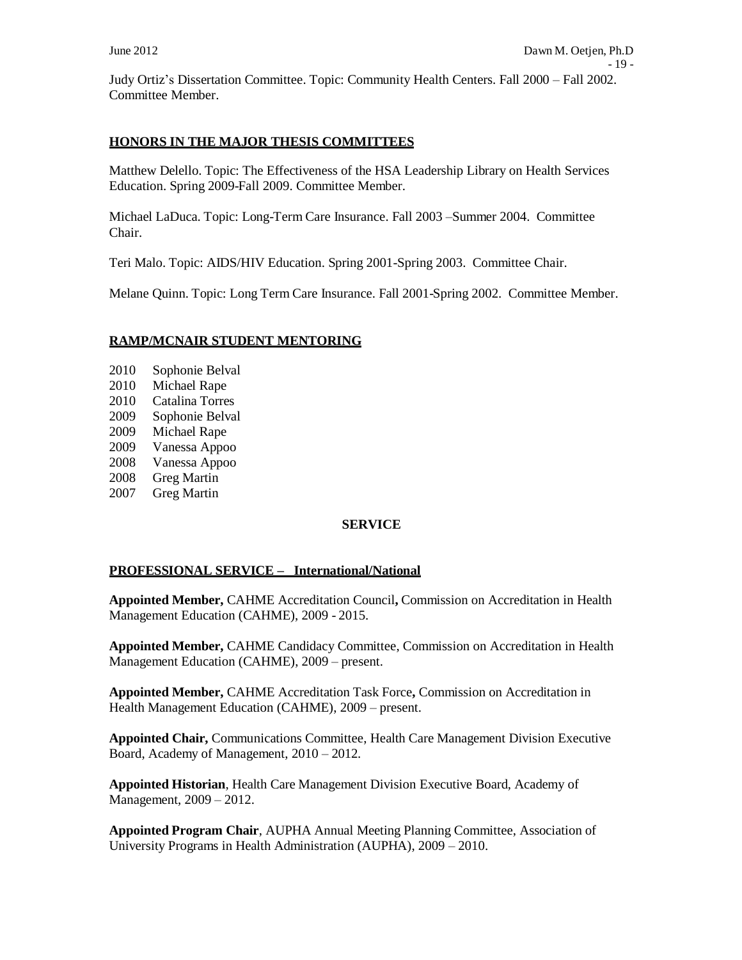Judy Ortiz's Dissertation Committee. Topic: Community Health Centers. Fall 2000 – Fall 2002. Committee Member.

### **HONORS IN THE MAJOR THESIS COMMITTEES**

Matthew Delello. Topic: The Effectiveness of the HSA Leadership Library on Health Services Education. Spring 2009-Fall 2009. Committee Member.

Michael LaDuca. Topic: Long-Term Care Insurance. Fall 2003 –Summer 2004. Committee Chair.

Teri Malo. Topic: AIDS/HIV Education. Spring 2001-Spring 2003. Committee Chair.

Melane Quinn. Topic: Long Term Care Insurance. Fall 2001-Spring 2002. Committee Member.

### **RAMP/MCNAIR STUDENT MENTORING**

- 2010 Sophonie Belval
- 2010 Michael Rape
- 2010 Catalina Torres
- 2009 Sophonie Belval
- 2009 Michael Rape
- 2009 Vanessa Appoo
- 2008 Vanessa Appoo
- 2008 Greg Martin
- 2007 Greg Martin

### **SERVICE**

### **PROFESSIONAL SERVICE – International/National**

**Appointed Member,** CAHME Accreditation Council**,** Commission on Accreditation in Health Management Education (CAHME), 2009 - 2015.

**Appointed Member,** CAHME Candidacy Committee, Commission on Accreditation in Health Management Education (CAHME), 2009 – present.

**Appointed Member,** CAHME Accreditation Task Force**,** Commission on Accreditation in Health Management Education (CAHME), 2009 – present.

**Appointed Chair,** Communications Committee, Health Care Management Division Executive Board, Academy of Management, 2010 – 2012.

**Appointed Historian**, Health Care Management Division Executive Board, Academy of Management, 2009 – 2012.

**Appointed Program Chair**, AUPHA Annual Meeting Planning Committee, Association of University Programs in Health Administration (AUPHA), 2009 – 2010.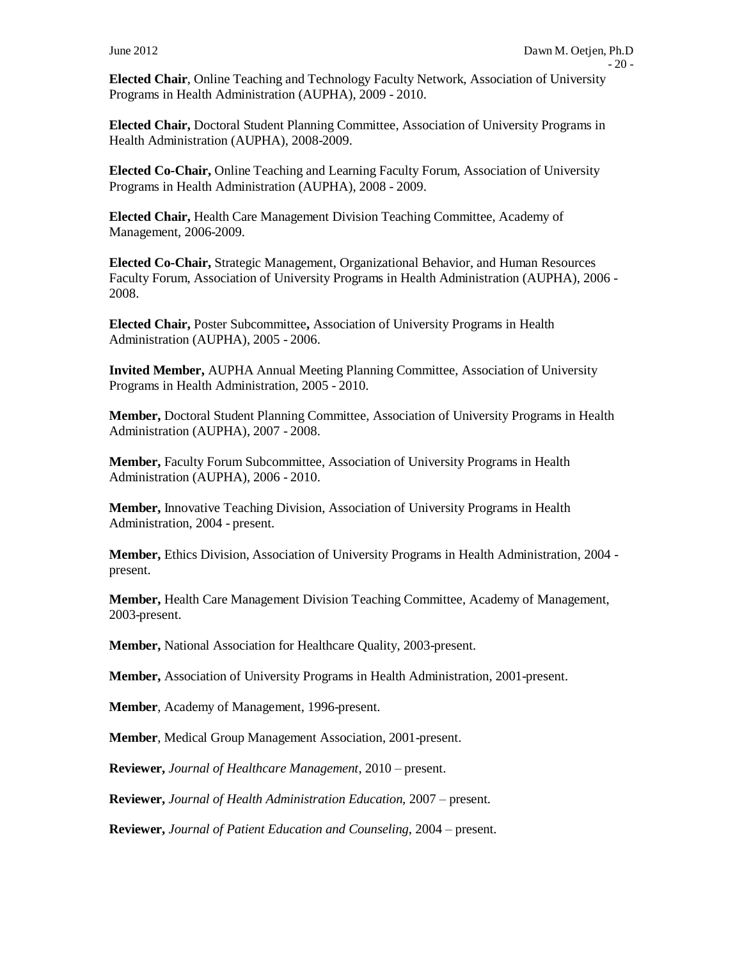**Elected Chair**, Online Teaching and Technology Faculty Network, Association of University Programs in Health Administration (AUPHA), 2009 - 2010.

**Elected Chair,** Doctoral Student Planning Committee, Association of University Programs in Health Administration (AUPHA), 2008-2009.

**Elected Co-Chair,** Online Teaching and Learning Faculty Forum, Association of University Programs in Health Administration (AUPHA), 2008 - 2009.

**Elected Chair,** Health Care Management Division Teaching Committee, Academy of Management, 2006-2009.

**Elected Co-Chair,** Strategic Management, Organizational Behavior, and Human Resources Faculty Forum, Association of University Programs in Health Administration (AUPHA), 2006 - 2008.

**Elected Chair,** Poster Subcommittee**,** Association of University Programs in Health Administration (AUPHA), 2005 - 2006.

**Invited Member,** AUPHA Annual Meeting Planning Committee, Association of University Programs in Health Administration, 2005 - 2010.

**Member,** Doctoral Student Planning Committee, Association of University Programs in Health Administration (AUPHA), 2007 - 2008.

**Member,** Faculty Forum Subcommittee, Association of University Programs in Health Administration (AUPHA), 2006 - 2010.

**Member,** Innovative Teaching Division, Association of University Programs in Health Administration, 2004 - present.

**Member,** Ethics Division, Association of University Programs in Health Administration, 2004 present.

**Member,** Health Care Management Division Teaching Committee, Academy of Management, 2003-present.

**Member,** National Association for Healthcare Quality, 2003-present.

**Member,** Association of University Programs in Health Administration, 2001-present.

**Member**, Academy of Management, 1996-present.

**Member**, Medical Group Management Association, 2001-present.

**Reviewer,** *Journal of Healthcare Management*, 2010 – present.

**Reviewer,** *Journal of Health Administration Education,* 2007 – present.

**Reviewer,** *Journal of Patient Education and Counseling*, 2004 – present.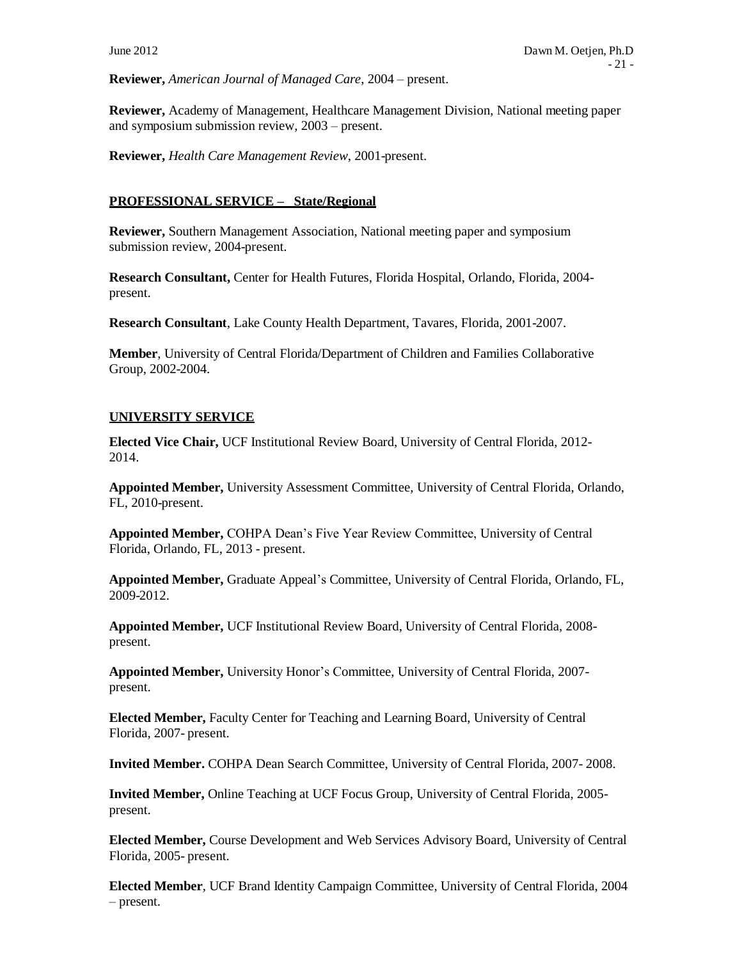**Reviewer,** *American Journal of Managed Care*, 2004 – present.

**Reviewer,** Academy of Management, Healthcare Management Division, National meeting paper and symposium submission review, 2003 – present.

**Reviewer,** *Health Care Management Review*, 2001-present.

### **PROFESSIONAL SERVICE – State/Regional**

**Reviewer,** Southern Management Association, National meeting paper and symposium submission review, 2004-present.

**Research Consultant,** Center for Health Futures, Florida Hospital, Orlando, Florida, 2004 present.

**Research Consultant**, Lake County Health Department, Tavares, Florida, 2001-2007.

**Member**, University of Central Florida/Department of Children and Families Collaborative Group, 2002-2004.

### **UNIVERSITY SERVICE**

**Elected Vice Chair,** UCF Institutional Review Board, University of Central Florida, 2012- 2014.

**Appointed Member,** University Assessment Committee, University of Central Florida, Orlando, FL, 2010-present.

**Appointed Member,** COHPA Dean's Five Year Review Committee, University of Central Florida, Orlando, FL, 2013 - present.

**Appointed Member,** Graduate Appeal's Committee, University of Central Florida, Orlando, FL, 2009-2012.

**Appointed Member,** UCF Institutional Review Board, University of Central Florida, 2008 present.

**Appointed Member,** University Honor's Committee, University of Central Florida, 2007 present.

**Elected Member,** Faculty Center for Teaching and Learning Board, University of Central Florida, 2007- present.

**Invited Member.** COHPA Dean Search Committee, University of Central Florida, 2007- 2008.

**Invited Member,** Online Teaching at UCF Focus Group, University of Central Florida, 2005 present.

**Elected Member,** Course Development and Web Services Advisory Board, University of Central Florida, 2005- present.

**Elected Member**, UCF Brand Identity Campaign Committee, University of Central Florida, 2004 – present.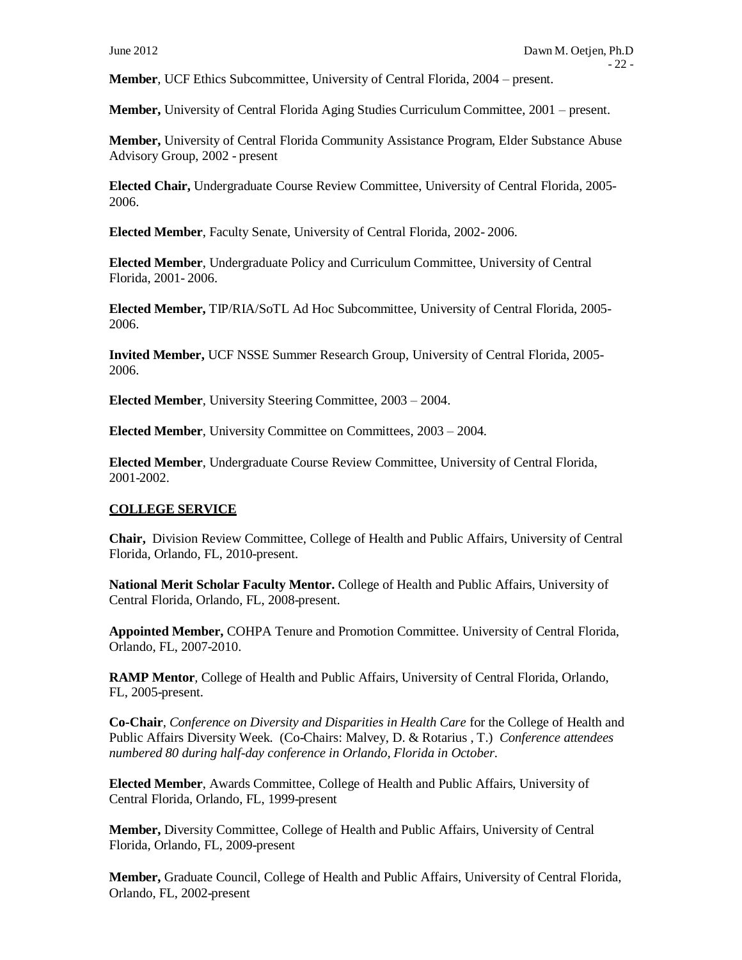**Member**, UCF Ethics Subcommittee, University of Central Florida, 2004 – present.

**Member,** University of Central Florida Aging Studies Curriculum Committee, 2001 – present.

**Member,** University of Central Florida Community Assistance Program, Elder Substance Abuse Advisory Group, 2002 - present

**Elected Chair,** Undergraduate Course Review Committee, University of Central Florida, 2005- 2006.

**Elected Member**, Faculty Senate, University of Central Florida, 2002- 2006.

**Elected Member**, Undergraduate Policy and Curriculum Committee, University of Central Florida, 2001- 2006.

**Elected Member,** TIP/RIA/SoTL Ad Hoc Subcommittee, University of Central Florida, 2005- 2006.

**Invited Member,** UCF NSSE Summer Research Group, University of Central Florida, 2005- 2006.

**Elected Member**, University Steering Committee, 2003 – 2004.

**Elected Member**, University Committee on Committees, 2003 – 2004.

**Elected Member**, Undergraduate Course Review Committee, University of Central Florida, 2001-2002.

### **COLLEGE SERVICE**

**Chair,** Division Review Committee, College of Health and Public Affairs, University of Central Florida, Orlando, FL, 2010-present.

**National Merit Scholar Faculty Mentor.** College of Health and Public Affairs, University of Central Florida, Orlando, FL, 2008-present.

**Appointed Member,** COHPA Tenure and Promotion Committee. University of Central Florida, Orlando, FL, 2007-2010.

**RAMP Mentor***,* College of Health and Public Affairs, University of Central Florida, Orlando, FL, 2005-present.

**Co-Chair**, *Conference on Diversity and Disparities in Health Care* for the College of Health and Public Affairs Diversity Week. (Co-Chairs: Malvey, D. & Rotarius , T.) *Conference attendees numbered 80 during half-day conference in Orlando, Florida in October.*

**Elected Member**, Awards Committee, College of Health and Public Affairs, University of Central Florida, Orlando, FL, 1999-present

**Member,** Diversity Committee, College of Health and Public Affairs, University of Central Florida, Orlando, FL, 2009-present

**Member,** Graduate Council, College of Health and Public Affairs, University of Central Florida, Orlando, FL, 2002-present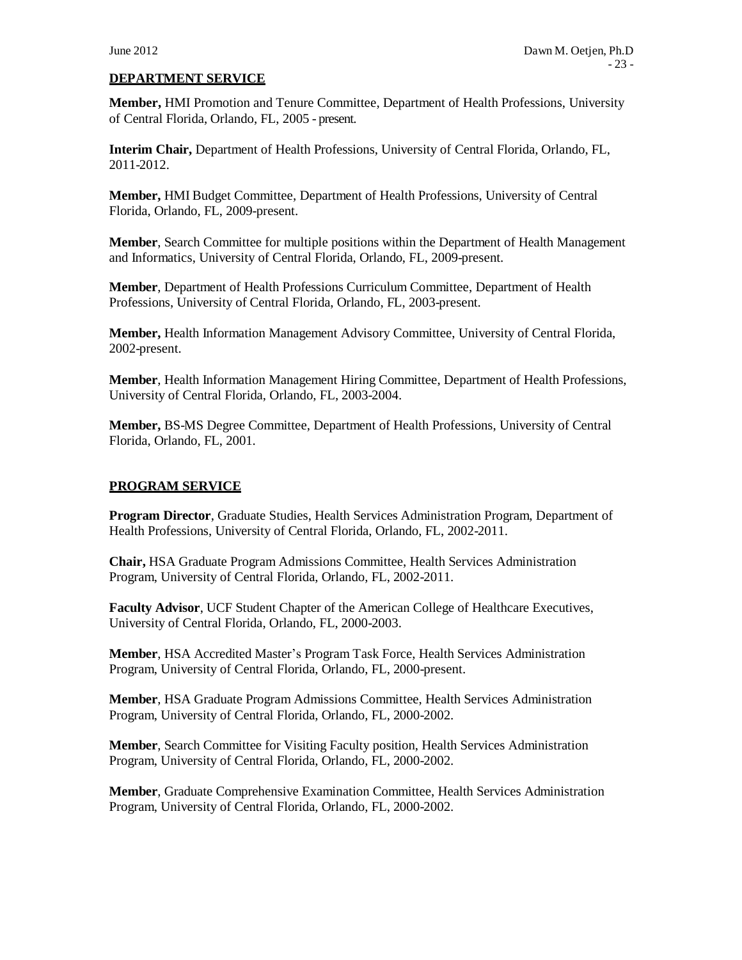#### **DEPARTMENT SERVICE**

**Member,** HMI Promotion and Tenure Committee, Department of Health Professions, University of Central Florida, Orlando, FL, 2005 - present.

**Interim Chair,** Department of Health Professions, University of Central Florida, Orlando, FL, 2011-2012.

**Member,** HMI Budget Committee, Department of Health Professions, University of Central Florida, Orlando, FL, 2009-present.

**Member**, Search Committee for multiple positions within the Department of Health Management and Informatics, University of Central Florida, Orlando, FL, 2009-present.

**Member**, Department of Health Professions Curriculum Committee, Department of Health Professions, University of Central Florida, Orlando, FL, 2003-present.

**Member,** Health Information Management Advisory Committee, University of Central Florida, 2002-present.

**Member**, Health Information Management Hiring Committee, Department of Health Professions, University of Central Florida, Orlando, FL, 2003-2004.

**Member,** BS-MS Degree Committee, Department of Health Professions, University of Central Florida, Orlando, FL, 2001.

#### **PROGRAM SERVICE**

**Program Director**, Graduate Studies, Health Services Administration Program, Department of Health Professions, University of Central Florida, Orlando, FL, 2002-2011.

**Chair,** HSA Graduate Program Admissions Committee, Health Services Administration Program, University of Central Florida, Orlando, FL, 2002-2011.

**Faculty Advisor, UCF Student Chapter of the American College of Healthcare Executives,** University of Central Florida, Orlando, FL, 2000-2003.

**Member**, HSA Accredited Master's Program Task Force, Health Services Administration Program, University of Central Florida, Orlando, FL, 2000-present.

**Member**, HSA Graduate Program Admissions Committee, Health Services Administration Program, University of Central Florida, Orlando, FL, 2000-2002.

**Member**, Search Committee for Visiting Faculty position, Health Services Administration Program, University of Central Florida, Orlando, FL, 2000-2002.

**Member**, Graduate Comprehensive Examination Committee, Health Services Administration Program, University of Central Florida, Orlando, FL, 2000-2002.